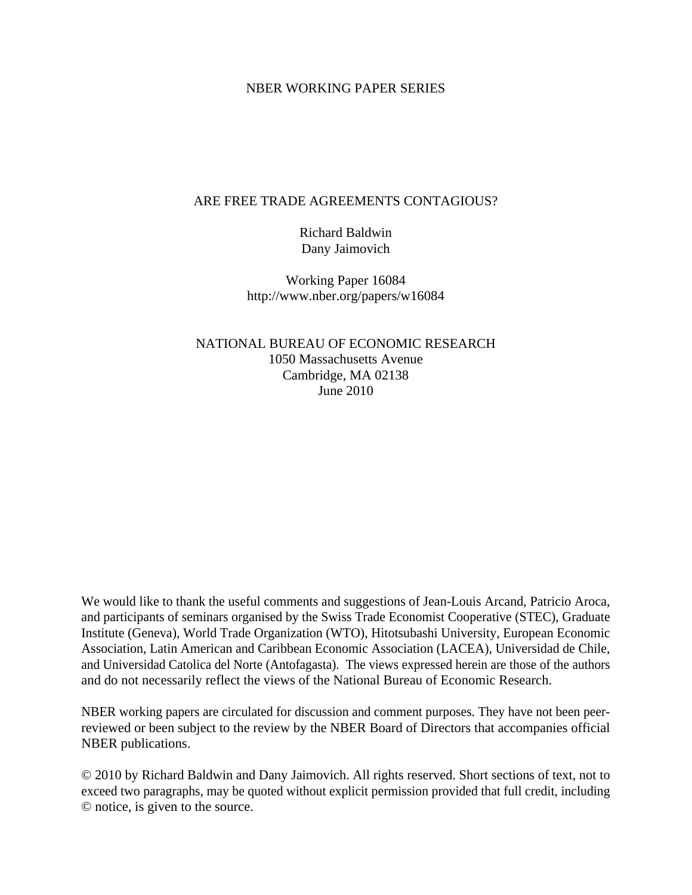### NBER WORKING PAPER SERIES

#### ARE FREE TRADE AGREEMENTS CONTAGIOUS?

Richard Baldwin Dany Jaimovich

Working Paper 16084 http://www.nber.org/papers/w16084

NATIONAL BUREAU OF ECONOMIC RESEARCH 1050 Massachusetts Avenue Cambridge, MA 02138 June 2010

We would like to thank the useful comments and suggestions of Jean-Louis Arcand, Patricio Aroca, and participants of seminars organised by the Swiss Trade Economist Cooperative (STEC), Graduate Institute (Geneva), World Trade Organization (WTO), Hitotsubashi University, European Economic Association, Latin American and Caribbean Economic Association (LACEA), Universidad de Chile, and Universidad Catolica del Norte (Antofagasta). The views expressed herein are those of the authors and do not necessarily reflect the views of the National Bureau of Economic Research.

NBER working papers are circulated for discussion and comment purposes. They have not been peerreviewed or been subject to the review by the NBER Board of Directors that accompanies official NBER publications.

© 2010 by Richard Baldwin and Dany Jaimovich. All rights reserved. Short sections of text, not to exceed two paragraphs, may be quoted without explicit permission provided that full credit, including © notice, is given to the source.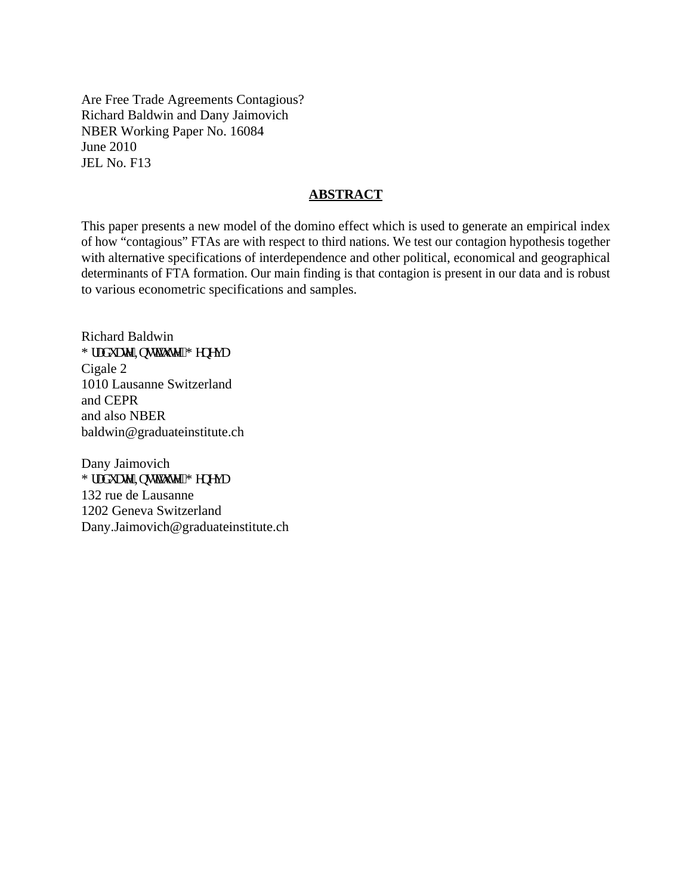Are Free Trade Agreements Contagious? Richard Baldwin and Dany Jaimovich NBER Working Paper No. 16084 June 2010 JEL No. F13

#### **ABSTRACT**

This paper presents a new model of the domino effect which is used to generate an empirical index of how "contagious" FTAs are with respect to third nations. We test our contagion hypothesis together with alternative specifications of interdependence and other political, economical and geographical determinants of FTA formation. Our main finding is that contagion is present in our data and is robust to various econometric specifications and samples.

Richard Baldwin I tcf wcvg"Kpurkwwg."I gpgxc Cigale 2 1010 Lausanne Switzerland and CEPR and also NBER baldwin@graduateinstitute.ch

Dany Jaimovich I tcf wcvg"Kpurkwwg."I gpgxc 132 rue de Lausanne 1202 Geneva Switzerland Dany.Jaimovich@graduateinstitute.ch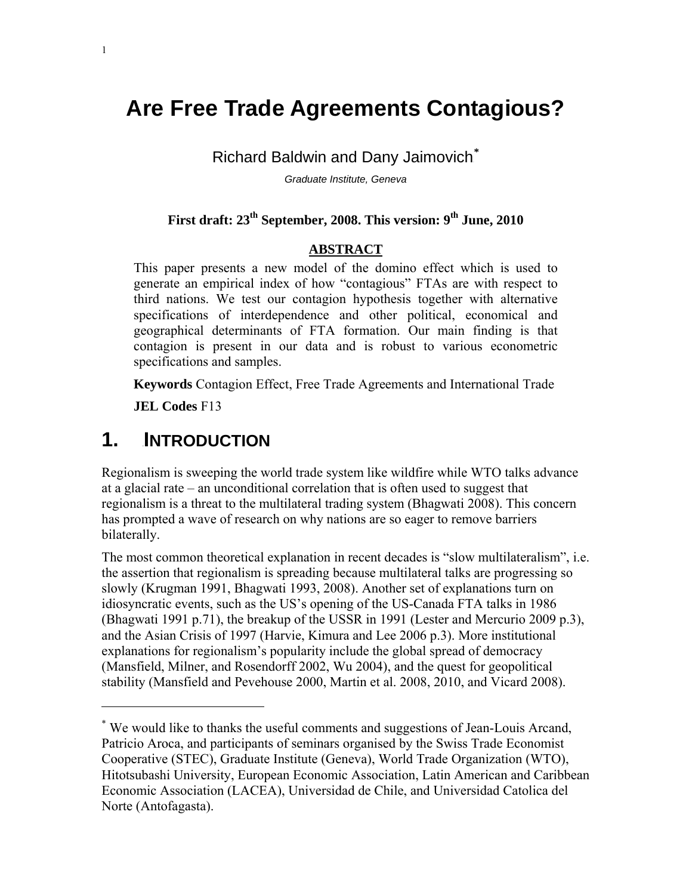# **Are Free Trade Agreements Contagious?**

**Richard Baldwin and Dany Jaimovich**\*

*Graduate Institute, Geneva* 

## First draft: 23<sup>th</sup> September, 2008. This version: 9<sup>th</sup> June, 2010

## **ABSTRACT**

This paper presents a new model of the domino effect which is used to generate an empirical index of how "contagious" FTAs are with respect to third nations. We test our contagion hypothesis together with alternative specifications of interdependence and other political, economical and geographical determinants of FTA formation. Our main finding is that contagion is present in our data and is robust to various econometric specifications and samples.

**Keywords** Contagion Effect, Free Trade Agreements and International Trade

**JEL Codes** F13

# 1. **INTRODUCTION**

Regionalism is sweeping the world trade system like wildfire while WTO talks advance at a glacial rate – an unconditional correlation that is often used to suggest that regionalism is a threat to the multilateral trading system (Bhagwati 2008). This concern has prompted a wave of research on why nations are so eager to remove barriers bilaterally.

The most common theoretical explanation in recent decades is "slow multilateralism", i.e. the assertion that regionalism is spreading because multilateral talks are progressing so slowly (Krugman 1991, Bhagwati 1993, 2008). Another set of explanations turn on idiosyncratic events, such as the US's opening of the US-Canada FTA talks in 1986 (Bhagwati 1991 p.71), the breakup of the USSR in 1991 (Lester and Mercurio 2009 p.3), and the Asian Crisis of 1997 (Harvie, Kimura and Lee 2006 p.3). More institutional explanations for regionalism's popularity include the global spread of democracy (Mansfield, Milner, and Rosendorff 2002, Wu 2004), and the quest for geopolitical stability (Mansfield and Pevehouse 2000, Martin et al. 2008, 2010, and Vicard 2008).

<sup>\*</sup> We would like to thanks the useful comments and suggestions of Jean-Louis Arcand, Patricio Aroca, and participants of seminars organised by the Swiss Trade Economist Cooperative (STEC), Graduate Institute (Geneva), World Trade Organization (WTO), Hitotsubashi University, European Economic Association, Latin American and Caribbean Economic Association (LACEA), Universidad de Chile, and Universidad Catolica del Norte (Antofagasta).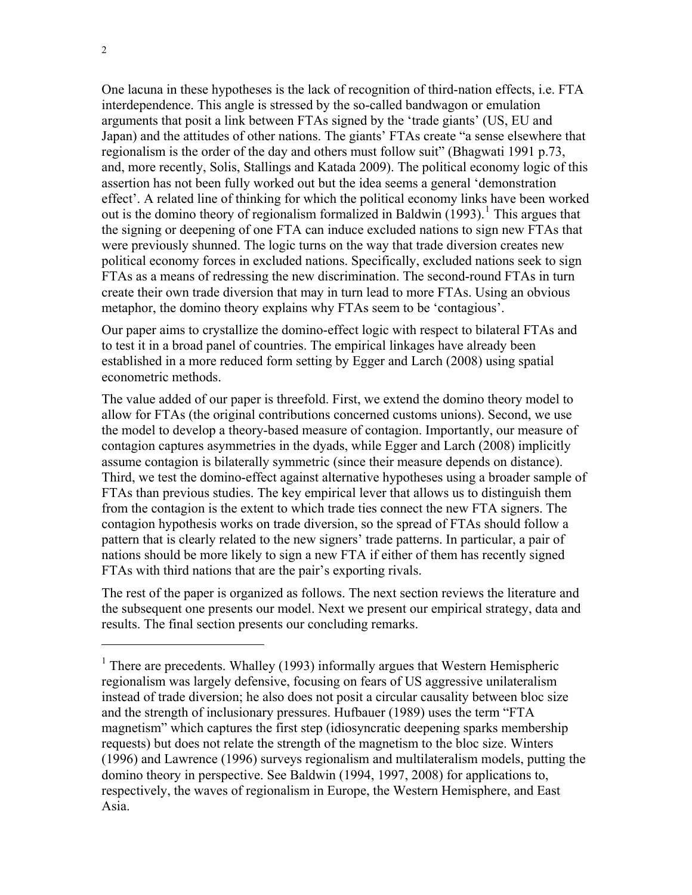One lacuna in these hypotheses is the lack of recognition of third-nation effects, i.e. FTA interdependence. This angle is stressed by the so-called bandwagon or emulation arguments that posit a link between FTAs signed by the 'trade giants' (US, EU and Japan) and the attitudes of other nations. The giants' FTAs create "a sense elsewhere that regionalism is the order of the day and others must follow suit" (Bhagwati 1991 p.73, and, more recently, Solis, Stallings and Katada 2009). The political economy logic of this assertion has not been fully worked out but the idea seems a general 'demonstration effect'. A related line of thinking for which the political economy links have been worked out is the domino theory of regionalism formalized in Baldwin  $(1993)$ <sup>1</sup>. This argues that the signing or deepening of one FTA can induce excluded nations to sign new FTAs that were previously shunned. The logic turns on the way that trade diversion creates new political economy forces in excluded nations. Specifically, excluded nations seek to sign FTAs as a means of redressing the new discrimination. The second-round FTAs in turn create their own trade diversion that may in turn lead to more FTAs. Using an obvious metaphor, the domino theory explains why FTAs seem to be 'contagious'.

Our paper aims to crystallize the domino-effect logic with respect to bilateral FTAs and to test it in a broad panel of countries. The empirical linkages have already been established in a more reduced form setting by Egger and Larch (2008) using spatial econometric methods.

The value added of our paper is threefold. First, we extend the domino theory model to allow for FTAs (the original contributions concerned customs unions). Second, we use the model to develop a theory-based measure of contagion. Importantly, our measure of contagion captures asymmetries in the dyads, while Egger and Larch (2008) implicitly assume contagion is bilaterally symmetric (since their measure depends on distance). Third, we test the domino-effect against alternative hypotheses using a broader sample of FTAs than previous studies. The key empirical lever that allows us to distinguish them from the contagion is the extent to which trade ties connect the new FTA signers. The contagion hypothesis works on trade diversion, so the spread of FTAs should follow a pattern that is clearly related to the new signers' trade patterns. In particular, a pair of nations should be more likely to sign a new FTA if either of them has recently signed FTAs with third nations that are the pair's exporting rivals.

The rest of the paper is organized as follows. The next section reviews the literature and the subsequent one presents our model. Next we present our empirical strategy, data and results. The final section presents our concluding remarks.

<sup>&</sup>lt;sup>1</sup> There are precedents. Whalley (1993) informally argues that Western Hemispheric regionalism was largely defensive, focusing on fears of US aggressive unilateralism instead of trade diversion; he also does not posit a circular causality between bloc size and the strength of inclusionary pressures. Hufbauer (1989) uses the term "FTA magnetism" which captures the first step (idiosyncratic deepening sparks membership requests) but does not relate the strength of the magnetism to the bloc size. Winters (1996) and Lawrence (1996) surveys regionalism and multilateralism models, putting the domino theory in perspective. See Baldwin (1994, 1997, 2008) for applications to, respectively, the waves of regionalism in Europe, the Western Hemisphere, and East Asia.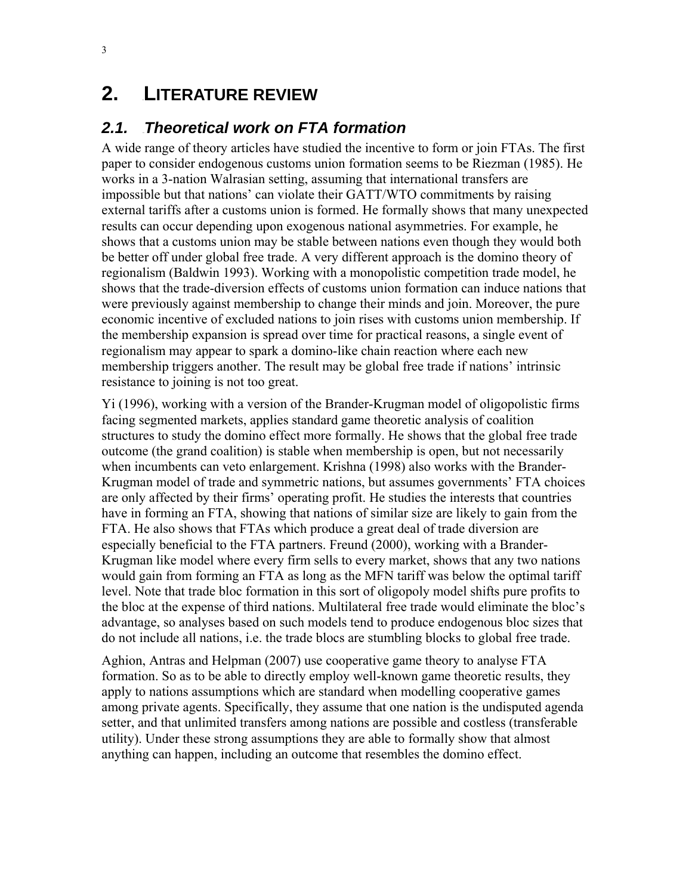# **2.** LITERATURE REVIEW

## **2.1. Theoretical work on FTA formation**

A wide range of theory articles have studied the incentive to form or join FTAs. The first paper to consider endogenous customs union formation seems to be Riezman (1985). He works in a 3-nation Walrasian setting, assuming that international transfers are impossible but that nations' can violate their GATT/WTO commitments by raising external tariffs after a customs union is formed. He formally shows that many unexpected results can occur depending upon exogenous national asymmetries. For example, he shows that a customs union may be stable between nations even though they would both be better off under global free trade. A very different approach is the domino theory of regionalism (Baldwin 1993). Working with a monopolistic competition trade model, he shows that the trade-diversion effects of customs union formation can induce nations that were previously against membership to change their minds and join. Moreover, the pure economic incentive of excluded nations to join rises with customs union membership. If the membership expansion is spread over time for practical reasons, a single event of regionalism may appear to spark a domino-like chain reaction where each new membership triggers another. The result may be global free trade if nations' intrinsic resistance to joining is not too great.

Yi (1996), working with a version of the Brander-Krugman model of oligopolistic firms facing segmented markets, applies standard game theoretic analysis of coalition structures to study the domino effect more formally. He shows that the global free trade outcome (the grand coalition) is stable when membership is open, but not necessarily when incumbents can veto enlargement. Krishna (1998) also works with the Brander-Krugman model of trade and symmetric nations, but assumes governments' FTA choices are only affected by their firms' operating profit. He studies the interests that countries have in forming an FTA, showing that nations of similar size are likely to gain from the FTA. He also shows that FTAs which produce a great deal of trade diversion are especially beneficial to the FTA partners. Freund (2000), working with a Brander-Krugman like model where every firm sells to every market, shows that any two nations would gain from forming an FTA as long as the MFN tariff was below the optimal tariff level. Note that trade bloc formation in this sort of oligopoly model shifts pure profits to the bloc at the expense of third nations. Multilateral free trade would eliminate the bloc's advantage, so analyses based on such models tend to produce endogenous bloc sizes that do not include all nations, i.e. the trade blocs are stumbling blocks to global free trade.

Aghion, Antras and Helpman (2007) use cooperative game theory to analyse FTA formation. So as to be able to directly employ well-known game theoretic results, they apply to nations assumptions which are standard when modelling cooperative games among private agents. Specifically, they assume that one nation is the undisputed agenda setter, and that unlimited transfers among nations are possible and costless (transferable utility). Under these strong assumptions they are able to formally show that almost anything can happen, including an outcome that resembles the domino effect.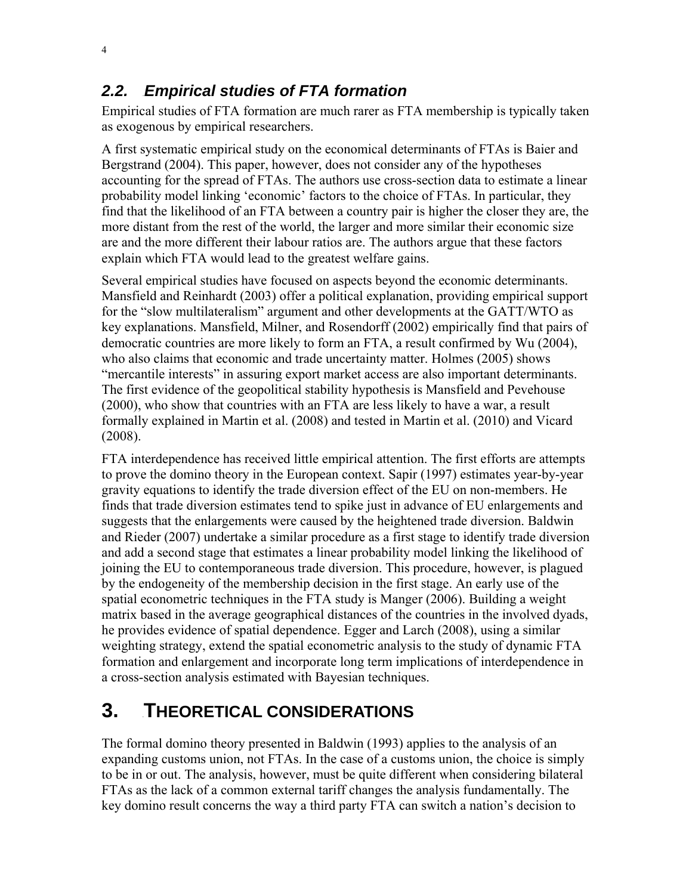## **2.2. Empirical studies of FTA formation**

Empirical studies of FTA formation are much rarer as FTA membership is typically taken as exogenous by empirical researchers.

A first systematic empirical study on the economical determinants of FTAs is Baier and Bergstrand (2004). This paper, however, does not consider any of the hypotheses accounting for the spread of FTAs. The authors use cross-section data to estimate a linear probability model linking 'economic' factors to the choice of FTAs. In particular, they find that the likelihood of an FTA between a country pair is higher the closer they are, the more distant from the rest of the world, the larger and more similar their economic size are and the more different their labour ratios are. The authors argue that these factors explain which FTA would lead to the greatest welfare gains.

Several empirical studies have focused on aspects beyond the economic determinants. Mansfield and Reinhardt (2003) offer a political explanation, providing empirical support for the "slow multilateralism" argument and other developments at the GATT/WTO as key explanations. Mansfield, Milner, and Rosendorff (2002) empirically find that pairs of democratic countries are more likely to form an FTA, a result confirmed by Wu (2004), who also claims that economic and trade uncertainty matter. Holmes (2005) shows "mercantile interests" in assuring export market access are also important determinants. The first evidence of the geopolitical stability hypothesis is Mansfield and Pevehouse (2000), who show that countries with an FTA are less likely to have a war, a result formally explained in Martin et al. (2008) and tested in Martin et al. (2010) and Vicard (2008).

FTA interdependence has received little empirical attention. The first efforts are attempts to prove the domino theory in the European context. Sapir (1997) estimates year-by-year gravity equations to identify the trade diversion effect of the EU on non-members. He finds that trade diversion estimates tend to spike just in advance of EU enlargements and suggests that the enlargements were caused by the heightened trade diversion. Baldwin and Rieder (2007) undertake a similar procedure as a first stage to identify trade diversion and add a second stage that estimates a linear probability model linking the likelihood of joining the EU to contemporaneous trade diversion. This procedure, however, is plagued by the endogeneity of the membership decision in the first stage. An early use of the spatial econometric techniques in the FTA study is Manger (2006). Building a weight matrix based in the average geographical distances of the countries in the involved dyads, he provides evidence of spatial dependence. Egger and Larch (2008), using a similar weighting strategy, extend the spatial econometric analysis to the study of dynamic FTA formation and enlargement and incorporate long term implications of interdependence in a cross-section analysis estimated with Bayesian techniques.

# **3. THEORETICAL CONSIDERATIONS**

The formal domino theory presented in Baldwin (1993) applies to the analysis of an expanding customs union, not FTAs. In the case of a customs union, the choice is simply to be in or out. The analysis, however, must be quite different when considering bilateral FTAs as the lack of a common external tariff changes the analysis fundamentally. The key domino result concerns the way a third party FTA can switch a nation's decision to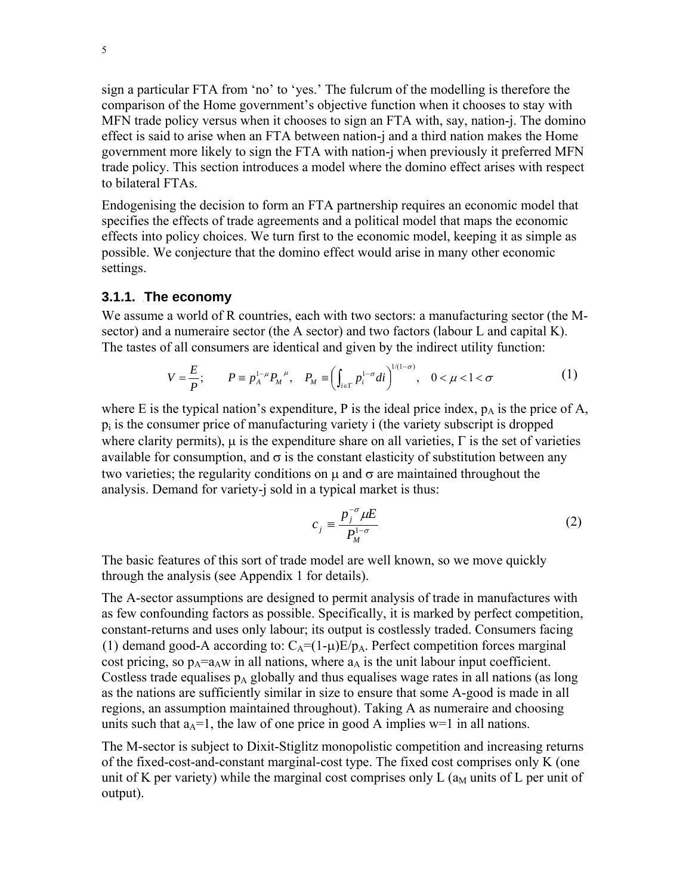sign a particular FTA from 'no' to 'yes.' The fulcrum of the modelling is therefore the comparison of the Home government's objective function when it chooses to stay with MFN trade policy versus when it chooses to sign an FTA with, say, nation-j. The domino effect is said to arise when an FTA between nation-j and a third nation makes the Home government more likely to sign the FTA with nation-j when previously it preferred MFN trade policy. This section introduces a model where the domino effect arises with respect to bilateral FTAs.

Endogenising the decision to form an FTA partnership requires an economic model that specifies the effects of trade agreements and a political model that maps the economic effects into policy choices. We turn first to the economic model, keeping it as simple as possible. We conjecture that the domino effect would arise in many other economic settings.

### **3.1.1.** The economy

We assume a world of R countries, each with two sectors: a manufacturing sector (the Msector) and a numeraire sector (the A sector) and two factors (labour L and capital K). The tastes of all consumers are identical and given by the indirect utility function:

$$
V = \frac{E}{P}; \qquad P \equiv p_A^{1-\mu} P_M^{\ \mu}, \quad P_M \equiv \left( \int_{i \in \Gamma} p_i^{1-\sigma} di \right)^{1/(1-\sigma)}, \quad 0 < \mu < 1 < \sigma \tag{1}
$$

where E is the typical nation's expenditure, P is the ideal price index,  $p_A$  is the price of A,  $p_i$  is the consumer price of manufacturing variety i (the variety subscript is dropped where clarity permits),  $\mu$  is the expenditure share on all varieties,  $\Gamma$  is the set of varieties available for consumption, and  $\sigma$  is the constant elasticity of substitution between any two varieties; the regularity conditions on  $\mu$  and  $\sigma$  are maintained throughout the analysis. Demand for variety-j sold in a typical market is thus:

$$
c_j \equiv \frac{p_j^{-\sigma} \mu E}{P_M^{1-\sigma}}
$$
 (2)

The basic features of this sort of trade model are well known, so we move quickly through the analysis (see Appendix 1 for details).

The A-sector assumptions are designed to permit analysis of trade in manufactures with as few confounding factors as possible. Specifically, it is marked by perfect competition, constant-returns and uses only labour; its output is costlessly traded. Consumers facing (1) demand good-A according to:  $C_A=(1-\mu)E/p_A$ . Perfect competition forces marginal cost pricing, so  $p_A = a_A w$  in all nations, where  $a_A$  is the unit labour input coefficient. Costless trade equalises  $p_A$  globally and thus equalises wage rates in all nations (as long as the nations are sufficiently similar in size to ensure that some A-good is made in all regions, an assumption maintained throughout). Taking A as numeraire and choosing units such that  $a_A=1$ , the law of one price in good A implies w=1 in all nations.

The M-sector is subject to Dixit-Stiglitz monopolistic competition and increasing returns of the fixed-cost-and-constant marginal-cost type. The fixed cost comprises only K (one unit of K per variety) while the marginal cost comprises only L  $(a<sub>M</sub>$  units of L per unit of output).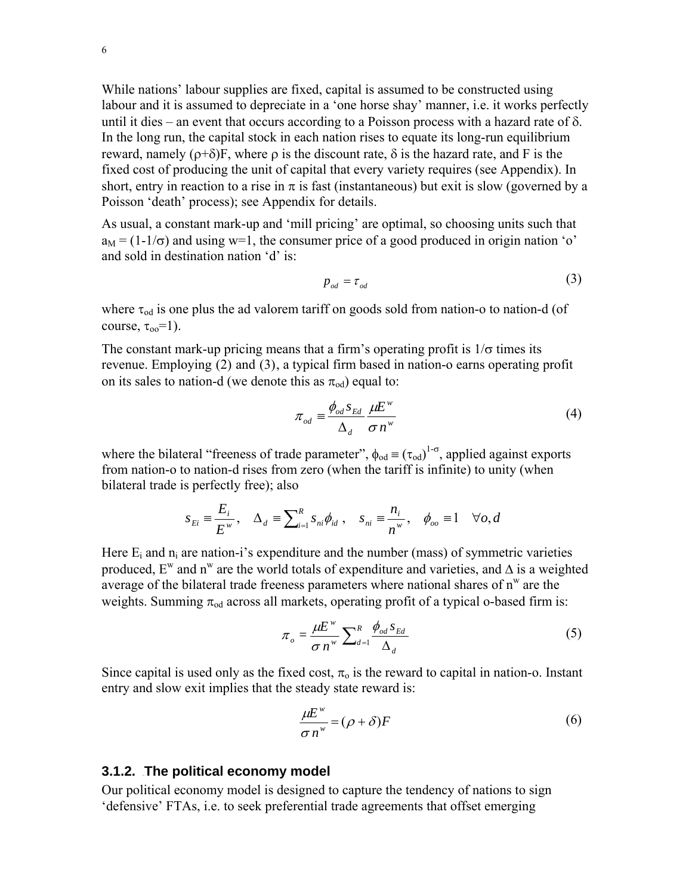6

While nations' labour supplies are fixed, capital is assumed to be constructed using labour and it is assumed to depreciate in a 'one horse shay' manner, i.e. it works perfectly until it dies – an event that occurs according to a Poisson process with a hazard rate of  $\delta$ . In the long run, the capital stock in each nation rises to equate its long-run equilibrium reward, namely  $(\rho+\delta)$ F, where  $\rho$  is the discount rate, δ is the hazard rate, and F is the fixed cost of producing the unit of capital that every variety requires (see Appendix). In short, entry in reaction to a rise in  $\pi$  is fast (instantaneous) but exit is slow (governed by a Poisson 'death' process); see Appendix for details.

As usual, a constant mark-up and 'mill pricing' are optimal, so choosing units such that  $a_M = (1-1/\sigma)$  and using w=1, the consumer price of a good produced in origin nation 'o' and sold in destination nation 'd' is:

$$
p_{od} = \tau_{od} \tag{3}
$$

where  $\tau_{od}$  is one plus the ad valorem tariff on goods sold from nation-o to nation-d (of course,  $\tau_{00} = 1$ ).

The constant mark-up pricing means that a firm's operating profit is  $1/\sigma$  times its revenue. Employing  $(2)$  and  $(3)$ , a typical firm based in nation-o earns operating profit on its sales to nation-d (we denote this as  $\pi_{od}$ ) equal to:

$$
\pi_{od} = \frac{\phi_{od} s_{Ed}}{\Delta_d} \frac{\mu E^w}{\sigma n^w}
$$
\n(4)

where the bilateral "freeness of trade parameter",  $\phi_{od} \equiv (\tau_{od})^{1-\sigma}$ , applied against exports from nation-o to nation-d rises from zero (when the tariff is infinite) to unity (when bilateral trade is perfectly free); also

$$
s_{E_i} \equiv \frac{E_i}{E^w}, \quad \Delta_d \equiv \sum_{i=1}^R s_{ni} \phi_{id}, \quad s_{ni} \equiv \frac{n_i}{n^w}, \quad \phi_{oo} \equiv 1 \quad \forall o, d
$$

Here  $E_i$  and  $n_i$  are nation-i's expenditure and the number (mass) of symmetric varieties produced.  $E^w$  and n<sup>w</sup> are the world totals of expenditure and varieties, and  $\Delta$  is a weighted average of the bilateral trade freeness parameters where national shares of  $n^w$  are the weights. Summing  $\pi_{od}$  across all markets, operating profit of a typical o-based firm is:

$$
\pi_o = \frac{\mu E^w}{\sigma n^w} \sum_{d=1}^R \frac{\phi_{od} s_{Ed}}{\Delta_d} \tag{5}
$$

Since capital is used only as the fixed cost,  $\pi_0$  is the reward to capital in nation-o. Instant entry and slow exit implies that the steady state reward is:

$$
\frac{\mu E^w}{\sigma n^w} = (\rho + \delta) F \tag{6}
$$

### **3.1.2.** The political economy model

Our political economy model is designed to capture the tendency of nations to sign 'defensive' FTAs, i.e. to seek preferential trade agreements that offset emerging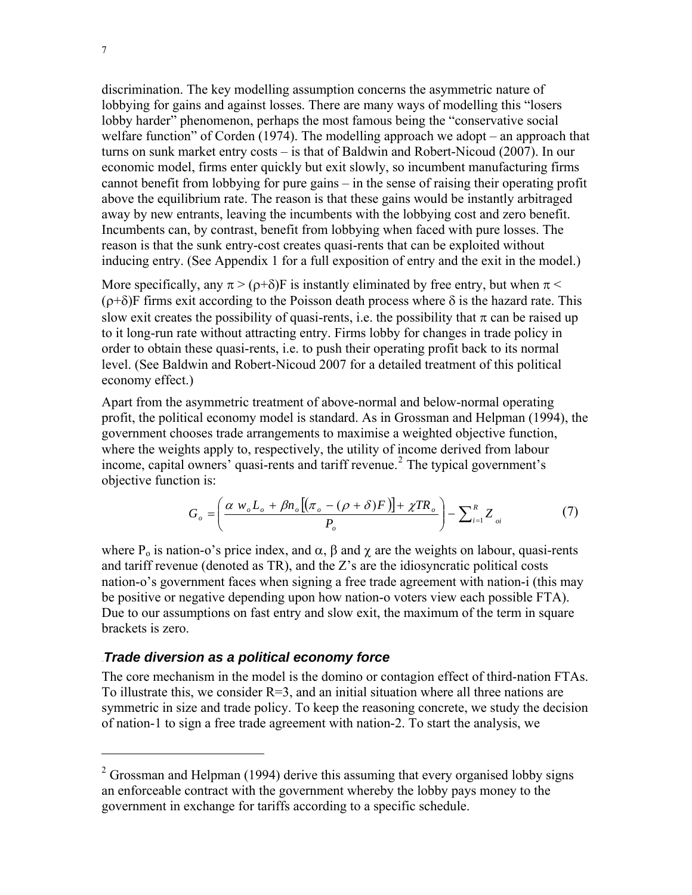discrimination. The key modelling assumption concerns the asymmetric nature of lobbying for gains and against losses. There are many ways of modelling this "losers lobby harder" phenomenon, perhaps the most famous being the "conservative social welfare function" of Corden (1974). The modelling approach we adopt – an approach that turns on sunk market entry costs – is that of Baldwin and Robert-Nicoud (2007). In our economic model, firms enter quickly but exit slowly, so incumbent manufacturing firms cannot benefit from lobbying for pure gains – in the sense of raising their operating profit above the equilibrium rate. The reason is that these gains would be instantly arbitraged away by new entrants, leaving the incumbents with the lobbying cost and zero benefit. Incumbents can, by contrast, benefit from lobbying when faced with pure losses. The reason is that the sunk entry-cost creates quasi-rents that can be exploited without inducing entry. (See Appendix 1 for a full exposition of entry and the exit in the model.)

More specifically, any  $\pi$  > ( $\rho$ + $\delta$ )F is instantly eliminated by free entry, but when  $\pi$  <  $(\rho+\delta)$ F firms exit according to the Poisson death process where  $\delta$  is the hazard rate. This slow exit creates the possibility of quasi-rents, i.e. the possibility that  $\pi$  can be raised up to it long-run rate without attracting entry. Firms lobby for changes in trade policy in order to obtain these quasi-rents, i.e. to push their operating profit back to its normal level. (See Baldwin and Robert-Nicoud 2007 for a detailed treatment of this political economy effect.)

Apart from the asymmetric treatment of above-normal and below-normal operating profit, the political economy model is standard. As in Grossman and Helpman (1994), the government chooses trade arrangements to maximise a weighted objective function, where the weights apply to, respectively, the utility of income derived from labour income, capital owners' quasi-rents and tariff revenue.<sup>2</sup> The typical government's objective function is:

$$
G_o = \left(\frac{\alpha w_o L_o + \beta n_o \left[ (\pi_o - (\rho + \delta)F)\right] + \chi TR_o}{P_o}\right) - \sum_{i=1}^R Z_{oi}
$$
 (7)

where  $P_0$  is nation-o's price index, and  $\alpha$ ,  $\beta$  and  $\gamma$  are the weights on labour, quasi-rents and tariff revenue (denoted as TR), and the Z's are the idiosyncratic political costs nation-o's government faces when signing a free trade agreement with nation-i (this may be positive or negative depending upon how nation-o voters view each possible FTA). Due to our assumptions on fast entry and slow exit, the maximum of the term in square brackets is zero.

#### **Trade diversion as a political economy force**

The core mechanism in the model is the domino or contagion effect of third-nation FTAs. To illustrate this, we consider  $R=3$ , and an initial situation where all three nations are symmetric in size and trade policy. To keep the reasoning concrete, we study the decision of nation-1 to sign a free trade agreement with nation-2. To start the analysis, we

1

 $2^2$  Grossman and Helpman (1994) derive this assuming that every organised lobby signs an enforceable contract with the government whereby the lobby pays money to the government in exchange for tariffs according to a specific schedule.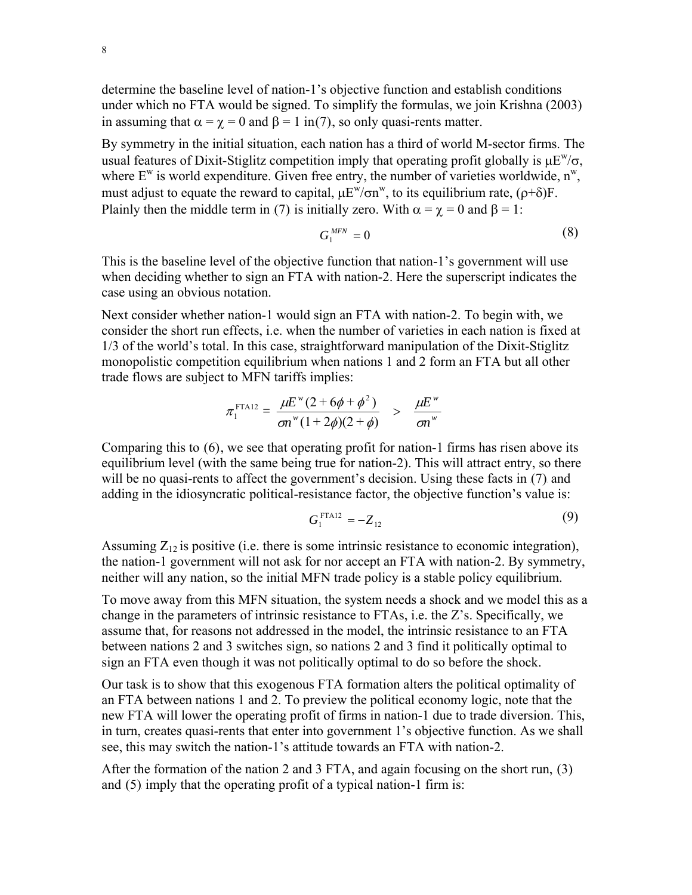determine the baseline level of nation-1's objective function and establish conditions under which no FTA would be signed. To simplify the formulas, we join Krishna (2003) in assuming that  $\alpha = \gamma = 0$  and  $\beta = 1$  in(7), so only quasi-rents matter.

By symmetry in the initial situation, each nation has a third of world M-sector firms. The usual features of Dixit-Stiglitz competition imply that operating profit globally is  $\mu E^w/\sigma$ . where  $E^w$  is world expenditure. Given free entry, the number of varieties worldwide,  $n^w$ , must adjust to equate the reward to capital,  $\mu E^{w}/\sigma n^{w}$ , to its equilibrium rate,  $(\rho + \delta)F$ . Plainly then the middle term in (7) is initially zero. With  $\alpha = \gamma = 0$  and  $\beta = 1$ :

$$
G_1^{MFN} = 0 \tag{8}
$$

This is the baseline level of the objective function that nation-1's government will use when deciding whether to sign an FTA with nation-2. Here the superscript indicates the case using an obvious notation.

Next consider whether nation-1 would sign an FTA with nation-2. To begin with, we consider the short run effects, i.e. when the number of varieties in each nation is fixed at 1/3 of the world's total. In this case, straightforward manipulation of the Dixit-Stiglitz monopolistic competition equilibrium when nations 1 and 2 form an FTA but all other trade flows are subject to MFN tariffs implies:

$$
\pi_1^{\text{FTA12}} = \frac{\mu E^{w} (2 + 6\phi + \phi^2)}{\sigma n^{w} (1 + 2\phi)(2 + \phi)} > \frac{\mu E^{w}}{\sigma n^{w}}
$$

Comparing this to  $(6)$ , we see that operating profit for nation-1 firms has risen above its equilibrium level (with the same being true for nation-2). This will attract entry, so there will be no quasi-rents to affect the government's decision. Using these facts in  $(7)$  and adding in the idiosyncratic political-resistance factor, the objective function's value is:

$$
G_1^{\text{FTA12}} = -Z_{12} \tag{9}
$$

Assuming  $Z_{12}$  is positive (i.e. there is some intrinsic resistance to economic integration), the nation-1 government will not ask for nor accept an FTA with nation-2. By symmetry, neither will any nation, so the initial MFN trade policy is a stable policy equilibrium.

To move away from this MFN situation, the system needs a shock and we model this as a change in the parameters of intrinsic resistance to FTAs, i.e. the Z's. Specifically, we assume that, for reasons not addressed in the model, the intrinsic resistance to an FTA between nations 2 and 3 switches sign, so nations 2 and 3 find it politically optimal to sign an FTA even though it was not politically optimal to do so before the shock.

Our task is to show that this exogenous FTA formation alters the political optimality of an FTA between nations 1 and 2. To preview the political economy logic, note that the new FTA will lower the operating profit of firms in nation-1 due to trade diversion. This, in turn, creates quasi-rents that enter into government 1's objective function. As we shall see, this may switch the nation-1's attitude towards an FTA with nation-2.

After the formation of the nation 2 and 3 FTA, and again focusing on the short run,  $(3)$ and  $(5)$  imply that the operating profit of a typical nation-1 firm is: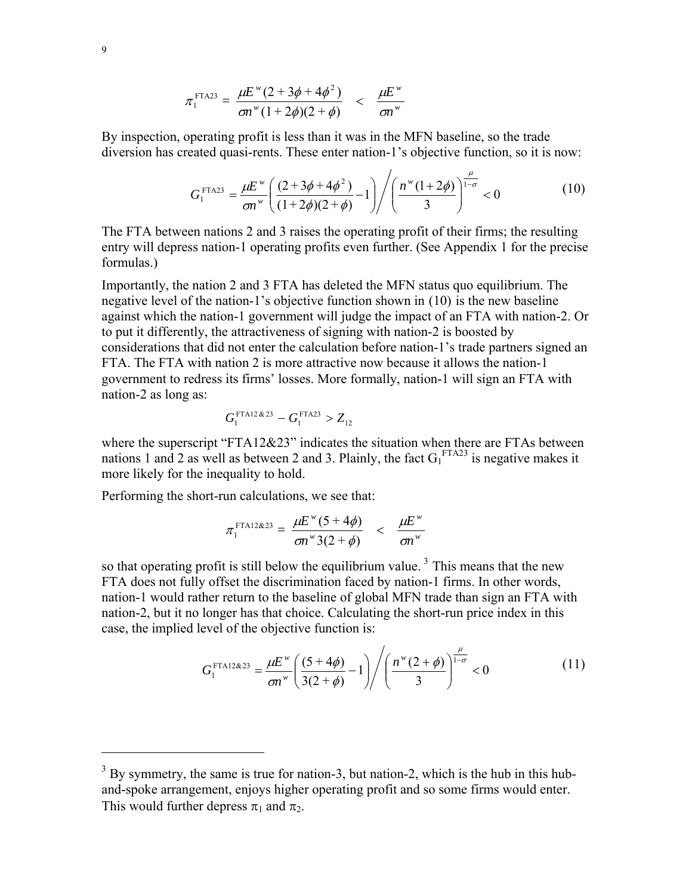$$
\pi_1^{\text{FTA23}} = \frac{\mu E^{w} (2 + 3\phi + 4\phi^2)}{\sigma n^{w} (1 + 2\phi)(2 + \phi)} < \frac{\mu E^{w}}{\sigma n^{w}}
$$

By inspection, operating profit is less than it was in the MFN baseline, so the trade diversion has created quasi-rents. These enter nation-1's objective function, so it is now:

$$
G_1^{\text{FTA23}} = \frac{\mu E^w}{\sigma n^w} \left( \frac{(2 + 3\phi + 4\phi^2)}{(1 + 2\phi)(2 + \phi)} - 1 \right) \left/ \left( \frac{n^w (1 + 2\phi)}{3} \right)^{\frac{\mu}{1 - \sigma}} < 0 \tag{10}
$$

The FTA between nations 2 and 3 raises the operating profit of their firms; the resulting entry will depress nation-1 operating profits even further. (See Appendix 1 for the precise formulas.)

Importantly, the nation 2 and 3 FTA has deleted the MFN status quo equilibrium. The negative level of the nation-1's objective function shown in  $(10)$  is the new baseline against which the nation-1 government will judge the impact of an FTA with nation-2. Or to put it differently, the attractiveness of signing with nation-2 is boosted by considerations that did not enter the calculation before nation-1's trade partners signed an FTA. The FTA with nation 2 is more attractive now because it allows the nation-1 government to redress its firms' losses. More formally, nation-1 will sign an FTA with nation-2 as long as:

$$
G_1^{\text{FTA12\&23}} - G_1^{\text{FTA23}} > Z_{12}
$$

where the superscript "FTA12&23" indicates the situation when there are FTAs between nations 1 and 2 as well as between 2 and 3. Plainly, the fact  $G_1^{\text{FTA23}}$  is negative makes it more likely for the inequality to hold.

Performing the short-run calculations, we see that:

$$
\pi_1^{\text{FTA12\&23}} = \frac{\mu E^w (5 + 4\phi)}{\sigma n^w 3(2 + \phi)} < \frac{\mu E^w}{\sigma n^w}
$$

so that operating profit is still below the equilibrium value.<sup>3</sup> This means that the new FTA does not fully offset the discrimination faced by nation-1 firms. In other words, nation-1 would rather return to the baseline of global MFN trade than sign an FTA with nation-2, but it no longer has that choice. Calculating the short-run price index in this case, the implied level of the objective function is:

$$
G_1^{\text{FTA12\&23}} = \frac{\mu E^w}{\sigma n^w} \left( \frac{(5+4\phi)}{3(2+\phi)} - 1 \right) \left/ \left( \frac{n^w (2+\phi)}{3} \right)^{\frac{\mu}{1-\sigma}} < 0 \tag{11}
$$

 $3$  By symmetry, the same is true for nation-3, but nation-2, which is the hub in this huband-spoke arrangement, enjoys higher operating profit and so some firms would enter. This would further depress  $\pi_1$  and  $\pi_2$ .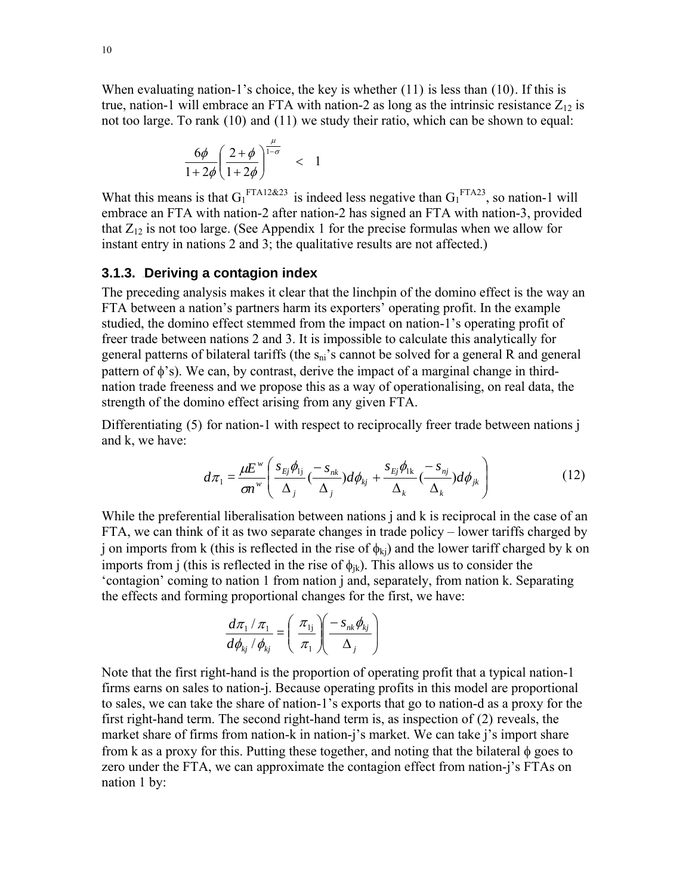When evaluating nation-1's choice, the key is whether  $(11)$  is less than  $(10)$ . If this is true, nation-1 will embrace an FTA with nation-2 as long as the intrinsic resistance  $Z_{12}$  is not too large. To rank  $(10)$  and  $(11)$  we study their ratio, which can be shown to equal:

$$
\frac{6\phi}{1+2\phi} \left( \frac{2+\phi}{1+2\phi} \right)^{\frac{\mu}{1-\sigma}} < 1
$$

What this means is that  $G_1^{\text{FTA12\&23}}$  is indeed less negative than  $G_1^{\text{FTA23}}$ , so nation-1 will embrace an FTA with nation-2 after nation-2 has signed an FTA with nation-3, provided that  $Z_{12}$  is not too large. (See Appendix 1 for the precise formulas when we allow for instant entry in nations 2 and 3; the qualitative results are not affected.)

## **3.1.3. Deriving a contagion index**

The preceding analysis makes it clear that the linchpin of the domino effect is the way an FTA between a nation's partners harm its exporters' operating profit. In the example studied, the domino effect stemmed from the impact on nation-1's operating profit of freer trade between nations 2 and 3. It is impossible to calculate this analytically for general patterns of bilateral tariffs (the  $s_{ni}$ 's cannot be solved for a general R and general pattern of φ's). We can, by contrast, derive the impact of a marginal change in thirdnation trade freeness and we propose this as a way of operationalising, on real data, the strength of the domino effect arising from any given FTA.

Differentiating  $(5)$  for nation-1 with respect to reciprocally freer trade between nations  $\mathbf{i}$ and k, we have:

$$
d\pi_1 = \frac{\mu E^w}{\sigma n^w} \left( \frac{s_{Ej} \phi_{1j}}{\Delta_j} \left( \frac{-s_{nk}}{\Delta_j} \right) d\phi_{kj} + \frac{s_{Ej} \phi_{1k}}{\Delta_k} \left( \frac{-s_{nj}}{\Delta_k} \right) d\phi_{jk} \right)
$$
(12)

While the preferential liberalisation between nations *j* and *k* is reciprocal in the case of an FTA, we can think of it as two separate changes in trade policy – lower tariffs charged by j on imports from k (this is reflected in the rise of  $\phi_{kj}$ ) and the lower tariff charged by k on imports from j (this is reflected in the rise of  $\phi_{ik}$ ). This allows us to consider the 'contagion' coming to nation 1 from nation j and, separately, from nation k. Separating the effects and forming proportional changes for the first, we have:

$$
\frac{d\pi_1/\pi_1}{d\phi_{kj}/\phi_{kj}} = \left(\frac{\pi_{1j}}{\pi_1}\right)\left(\frac{-s_{nk}\phi_{kj}}{\Delta_j}\right)
$$

Note that the first right-hand is the proportion of operating profit that a typical nation-1 firms earns on sales to nation-j. Because operating profits in this model are proportional to sales, we can take the share of nation-1's exports that go to nation-d as a proxy for the first right-hand term. The second right-hand term is, as inspection of  $(2)$  reveals, the market share of firms from nation-k in nation-j's market. We can take j's import share from k as a proxy for this. Putting these together, and noting that the bilateral  $\phi$  goes to zero under the FTA, we can approximate the contagion effect from nation-j's FTAs on nation 1 by: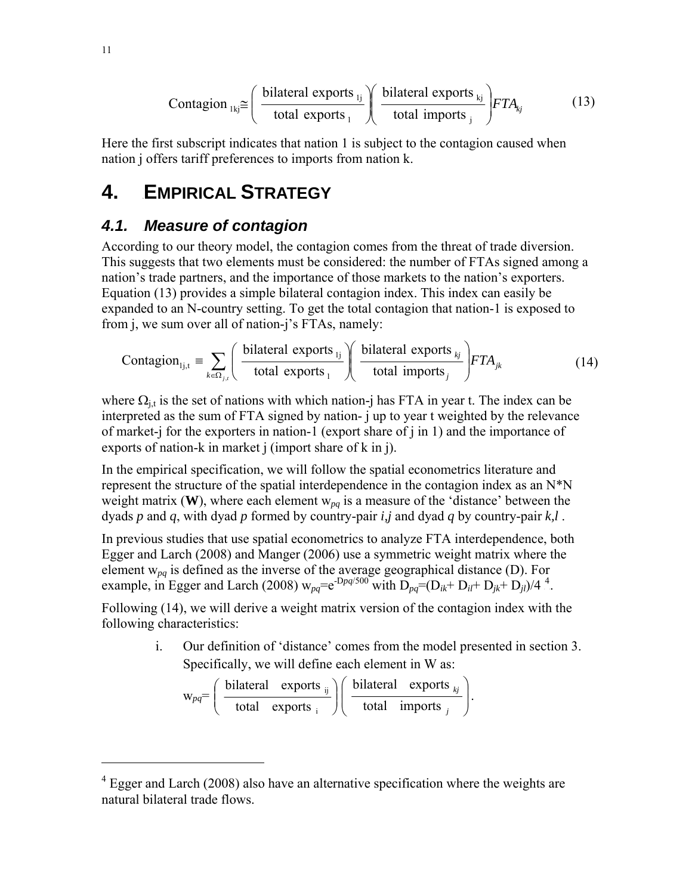$$
Contagion_{1kj} \cong \left(\frac{\text{bilateral exports}_{1j}}{\text{total exports}_{1}}\right) \left(\frac{\text{bilateral exports}_{kj}}{\text{total imports}_{j}}\right) FTA_{kj} \tag{13}
$$

Here the first subscript indicates that nation 1 is subject to the contagion caused when nation j offers tariff preferences to imports from nation k.

# **4. EMPIRICAL STRATEGY**

## **4.1. Measure of contagion**

According to our theory model, the contagion comes from the threat of trade diversion. This suggests that two elements must be considered: the number of FTAs signed among a nation's trade partners, and the importance of those markets to the nation's exporters. Equation (13) provides a simple bilateral contagion index. This index can easily be expanded to an N-country setting. To get the total contagion that nation-1 is exposed to from j, we sum over all of nation-j's FTAs, namely:

$$
Contagion_{1j,t} \equiv \sum_{k \in \Omega_{j,t}} \left( \frac{\text{bilateral exports}_{1j}}{\text{total exports}_{1}} \right) \left( \frac{\text{bilateral exports}_{kj}}{\text{total imports}_{j}} \right) FTA_{jk}
$$
(14)

where  $\Omega_{i,t}$  is the set of nations with which nation-j has FTA in year t. The index can be interpreted as the sum of FTA signed by nation- j up to year t weighted by the relevance of market-j for the exporters in nation-1 (export share of j in 1) and the importance of exports of nation-k in market j (import share of k in j).

In the empirical specification, we will follow the spatial econometrics literature and represent the structure of the spatial interdependence in the contagion index as an N\*N weight matrix (**W**), where each element  $w_{pq}$  is a measure of the 'distance' between the dyads *p* and *q*, with dyad *p* formed by country-pair *i,j* and dyad *q* by country-pair *k,l* .

In previous studies that use spatial econometrics to analyze FTA interdependence, both Egger and Larch (2008) and Manger (2006) use a symmetric weight matrix where the element w*pq* is defined as the inverse of the average geographical distance (D). For example, in Egger and Larch (2008)  $w_{pq} = e^{-Dpq/500}$  with  $D_{pq} = (D_{ik} + D_{il} + D_{jk} + D_{jl})/4^{4}$ .

Following (14), we will derive a weight matrix version of the contagion index with the following characteristics:

> i. Our definition of 'distance' comes from the model presented in section 3. Specifically, we will define each element in W as:

> > .

$$
w_{pq} = \left(\begin{array}{cc}\n\text{bilateral} & \text{exports}_{ij} \\
\text{total} & \text{exports}_{i}\n\end{array}\right) \left(\begin{array}{cc}\n\text{bilateral} & \text{exports}_{kj} \\
\text{total} & \text{imports}_{j}\n\end{array}\right)
$$

l

1

 $4$  Egger and Larch (2008) also have an alternative specification where the weights are natural bilateral trade flows.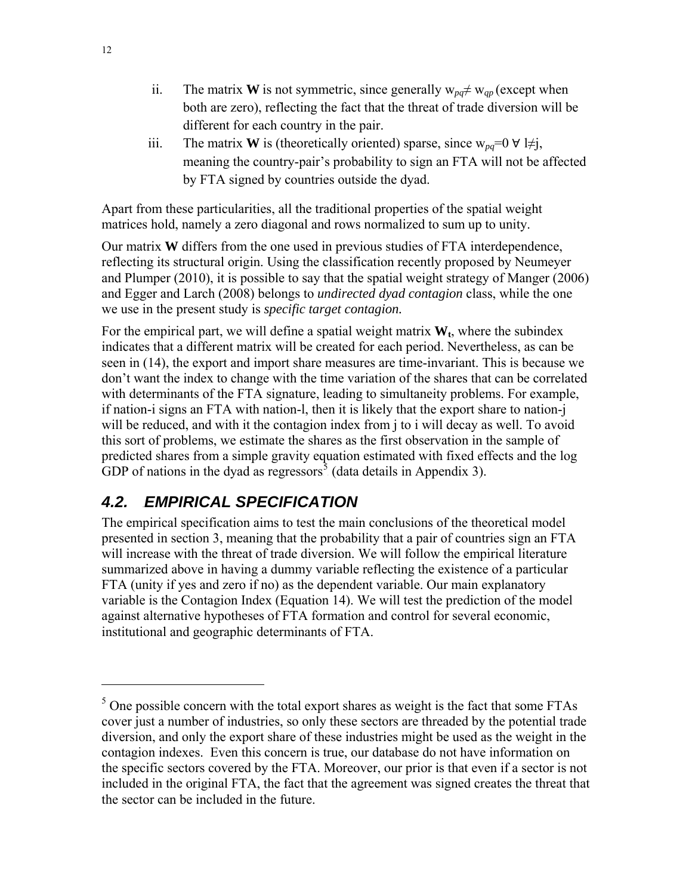- ii. The matrix **W** is not symmetric, since generally  $w_{pq} \neq w_{qp}$  (except when both are zero), reflecting the fact that the threat of trade diversion will be different for each country in the pair.
- iii. The matrix **W** is (theoretically oriented) sparse, since  $w_{pq}=0 \forall l \neq j$ , meaning the country-pair's probability to sign an FTA will not be affected by FTA signed by countries outside the dyad.

Apart from these particularities, all the traditional properties of the spatial weight matrices hold, namely a zero diagonal and rows normalized to sum up to unity.

Our matrix **W** differs from the one used in previous studies of FTA interdependence, reflecting its structural origin. Using the classification recently proposed by Neumeyer and Plumper (2010), it is possible to say that the spatial weight strategy of Manger (2006) and Egger and Larch (2008) belongs to *undirected dyad contagion* class, while the one we use in the present study is *specific target contagion.* 

For the empirical part, we will define a spatial weight matrix  $W_t$ , where the subindex indicates that a different matrix will be created for each period. Nevertheless, as can be seen in (14), the export and import share measures are time-invariant. This is because we don't want the index to change with the time variation of the shares that can be correlated with determinants of the FTA signature, leading to simultaneity problems. For example, if nation-i signs an FTA with nation-l, then it is likely that the export share to nation-j will be reduced, and with it the contagion index from j to i will decay as well. To avoid this sort of problems, we estimate the shares as the first observation in the sample of predicted shares from a simple gravity equation estimated with fixed effects and the log GDP of nations in the dyad as regressors<sup>3</sup> (data details in Appendix 3).

## **4.2. EMPIRICAL SPECIFICATION**

The empirical specification aims to test the main conclusions of the theoretical model presented in section 3, meaning that the probability that a pair of countries sign an FTA will increase with the threat of trade diversion. We will follow the empirical literature summarized above in having a dummy variable reflecting the existence of a particular FTA (unity if yes and zero if no) as the dependent variable. Our main explanatory variable is the Contagion Index (Equation 14). We will test the prediction of the model against alternative hypotheses of FTA formation and control for several economic, institutional and geographic determinants of FTA.

 $<sup>5</sup>$  One possible concern with the total export shares as weight is the fact that some FTAs</sup> cover just a number of industries, so only these sectors are threaded by the potential trade diversion, and only the export share of these industries might be used as the weight in the contagion indexes. Even this concern is true, our database do not have information on the specific sectors covered by the FTA. Moreover, our prior is that even if a sector is not included in the original FTA, the fact that the agreement was signed creates the threat that the sector can be included in the future.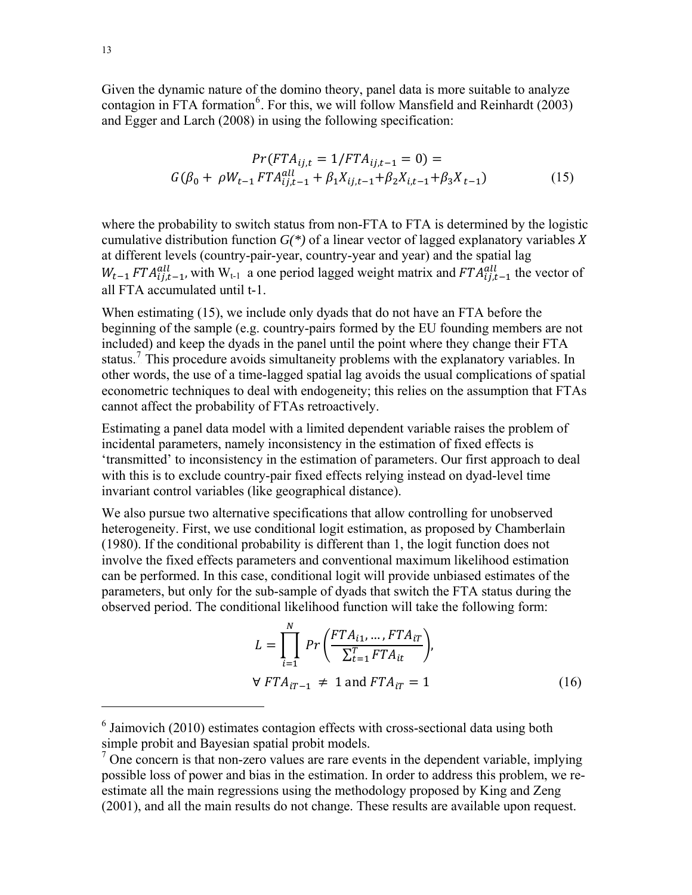Given the dynamic nature of the domino theory, panel data is more suitable to analyze contagion in FTA formation<sup>6</sup>. For this, we will follow Mansfield and Reinhardt (2003) and Egger and Larch (2008) in using the following specification:

$$
Pr(FTA_{ij,t} = 1/FTA_{ij,t-1} = 0) =
$$
  

$$
G(\beta_0 + \rho W_{t-1} FTA_{ij,t-1}^{all} + \beta_1 X_{ij,t-1} + \beta_2 X_{i,t-1} + \beta_3 X_{t-1})
$$
 (15)

where the probability to switch status from non-FTA to FTA is determined by the logistic cumulative distribution function  $G^{(*)}$  of a linear vector of lagged explanatory variables X at different levels (country-pair-year, country-year and year) and the spatial lag  $W_{t-1} F T A_{ij,t-1}^{all}$ , with  $W_{t-1}$  a one period lagged weight matrix and  $F T A_{ij,t-1}^{all}$  the vector of all FTA accumulated until t-1.

When estimating (15), we include only dyads that do not have an FTA before the beginning of the sample (e.g. country-pairs formed by the EU founding members are not included) and keep the dyads in the panel until the point where they change their FTA status.<sup>7</sup> This procedure avoids simultaneity problems with the explanatory variables. In other words, the use of a time-lagged spatial lag avoids the usual complications of spatial econometric techniques to deal with endogeneity; this relies on the assumption that FTAs cannot affect the probability of FTAs retroactively.

Estimating a panel data model with a limited dependent variable raises the problem of incidental parameters, namely inconsistency in the estimation of fixed effects is 'transmitted' to inconsistency in the estimation of parameters. Our first approach to deal with this is to exclude country-pair fixed effects relying instead on dyad-level time invariant control variables (like geographical distance).

We also pursue two alternative specifications that allow controlling for unobserved heterogeneity. First, we use conditional logit estimation, as proposed by Chamberlain (1980). If the conditional probability is different than 1, the logit function does not involve the fixed effects parameters and conventional maximum likelihood estimation can be performed. In this case, conditional logit will provide unbiased estimates of the parameters, but only for the sub-sample of dyads that switch the FTA status during the observed period. The conditional likelihood function will take the following form:

$$
L = \prod_{i=1}^{N} Pr\left(\frac{FTA_{i1}, \dots,FTA_{iT}}{\sum_{t=1}^{T} FTA_{it}}\right),
$$
  

$$
\forall FTA_{iT-1} \neq 1 \text{ and } FTA_{iT} = 1
$$
 (16)

 $6$  Jaimovich (2010) estimates contagion effects with cross-sectional data using both simple probit and Bayesian spatial probit models.

 $<sup>7</sup>$  One concern is that non-zero values are rare events in the dependent variable, implying</sup> possible loss of power and bias in the estimation. In order to address this problem, we reestimate all the main regressions using the methodology proposed by King and Zeng (2001), and all the main results do not change. These results are available upon request.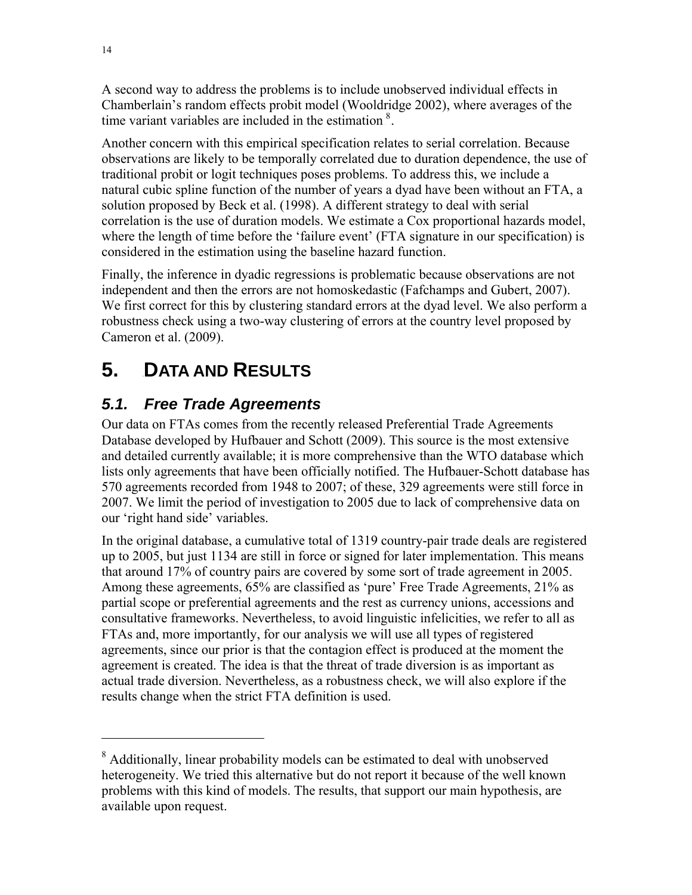A second way to address the problems is to include unobserved individual effects in Chamberlain's random effects probit model (Wooldridge 2002), where averages of the time variant variables are included in the estimation  $\delta$ .

Another concern with this empirical specification relates to serial correlation. Because observations are likely to be temporally correlated due to duration dependence, the use of traditional probit or logit techniques poses problems. To address this, we include a natural cubic spline function of the number of years a dyad have been without an FTA, a solution proposed by Beck et al. (1998). A different strategy to deal with serial correlation is the use of duration models. We estimate a Cox proportional hazards model, where the length of time before the 'failure event' (FTA signature in our specification) is considered in the estimation using the baseline hazard function.

Finally, the inference in dyadic regressions is problematic because observations are not independent and then the errors are not homoskedastic (Fafchamps and Gubert, 2007). We first correct for this by clustering standard errors at the dyad level. We also perform a robustness check using a two-way clustering of errors at the country level proposed by Cameron et al. (2009).

# **5.** 4B**DATA AND RESULTS**

## **5.1.** Free Trade Agreements

Our data on FTAs comes from the recently released Preferential Trade Agreements Database developed by Hufbauer and Schott (2009). This source is the most extensive and detailed currently available; it is more comprehensive than the WTO database which lists only agreements that have been officially notified. The Hufbauer-Schott database has 570 agreements recorded from 1948 to 2007; of these, 329 agreements were still force in 2007. We limit the period of investigation to 2005 due to lack of comprehensive data on our 'right hand side' variables.

In the original database, a cumulative total of 1319 country-pair trade deals are registered up to 2005, but just 1134 are still in force or signed for later implementation. This means that around 17% of country pairs are covered by some sort of trade agreement in 2005. Among these agreements, 65% are classified as 'pure' Free Trade Agreements, 21% as partial scope or preferential agreements and the rest as currency unions, accessions and consultative frameworks. Nevertheless, to avoid linguistic infelicities, we refer to all as FTAs and, more importantly, for our analysis we will use all types of registered agreements, since our prior is that the contagion effect is produced at the moment the agreement is created. The idea is that the threat of trade diversion is as important as actual trade diversion. Nevertheless, as a robustness check, we will also explore if the results change when the strict FTA definition is used.

<sup>&</sup>lt;sup>8</sup> Additionally, linear probability models can be estimated to deal with unobserved heterogeneity. We tried this alternative but do not report it because of the well known problems with this kind of models. The results, that support our main hypothesis, are available upon request.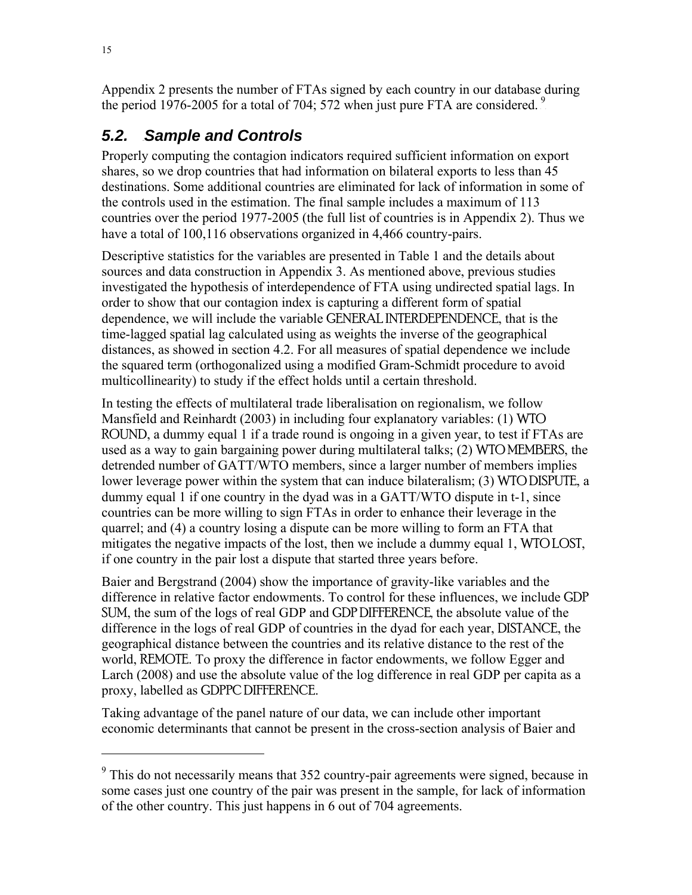Appendix 2 presents the number of FTAs signed by each country in our database during the period 1976-2005 for a total of 704; 572 when just pure FTA are considered.<sup>9</sup>

# **5.2.** Sample and Controls

Properly computing the contagion indicators required sufficient information on export shares, so we drop countries that had information on bilateral exports to less than 45 destinations. Some additional countries are eliminated for lack of information in some of the controls used in the estimation. The final sample includes a maximum of 113 countries over the period 1977-2005 (the full list of countries is in Appendix 2). Thus we have a total of 100,116 observations organized in 4,466 country-pairs.

Descriptive statistics for the variables are presented in Table 1 and the details about sources and data construction in Appendix 3. As mentioned above, previous studies investigated the hypothesis of interdependence of FTA using undirected spatial lags. In order to show that our contagion index is capturing a different form of spatial dependence, we will include the variable GENERAL INTERDEPENDENCE, that is the time-lagged spatial lag calculated using as weights the inverse of the geographical distances, as showed in section 4.2. For all measures of spatial dependence we include the squared term (orthogonalized using a modified Gram-Schmidt procedure to avoid multicollinearity) to study if the effect holds until a certain threshold.

In testing the effects of multilateral trade liberalisation on regionalism, we follow Mansfield and Reinhardt (2003) in including four explanatory variables: (1) WTO ROUND, a dummy equal 1 if a trade round is ongoing in a given year, to test if FTAs are used as a way to gain bargaining power during multilateral talks; (2) WTO MEMBERS, the detrended number of GATT/WTO members, since a larger number of members implies lower leverage power within the system that can induce bilateralism; (3) WTO DISPUTE, a dummy equal 1 if one country in the dyad was in a GATT/WTO dispute in t-1, since countries can be more willing to sign FTAs in order to enhance their leverage in the quarrel; and (4) a country losing a dispute can be more willing to form an FTA that mitigates the negative impacts of the lost, then we include a dummy equal 1, WTO LOST, if one country in the pair lost a dispute that started three years before.

Baier and Bergstrand (2004) show the importance of gravity-like variables and the difference in relative factor endowments. To control for these influences, we include GDP SUM, the sum of the logs of real GDP and GDP DIFFERENCE, the absolute value of the difference in the logs of real GDP of countries in the dyad for each year, DISTANCE, the geographical distance between the countries and its relative distance to the rest of the world, REMOTE. To proxy the difference in factor endowments, we follow Egger and Larch (2008) and use the absolute value of the log difference in real GDP per capita as a proxy, labelled as GDPPC DIFFERENCE.

Taking advantage of the panel nature of our data, we can include other important economic determinants that cannot be present in the cross-section analysis of Baier and

 $9$  This do not necessarily means that 352 country-pair agreements were signed, because in some cases just one country of the pair was present in the sample, for lack of information of the other country. This just happens in 6 out of 704 agreements.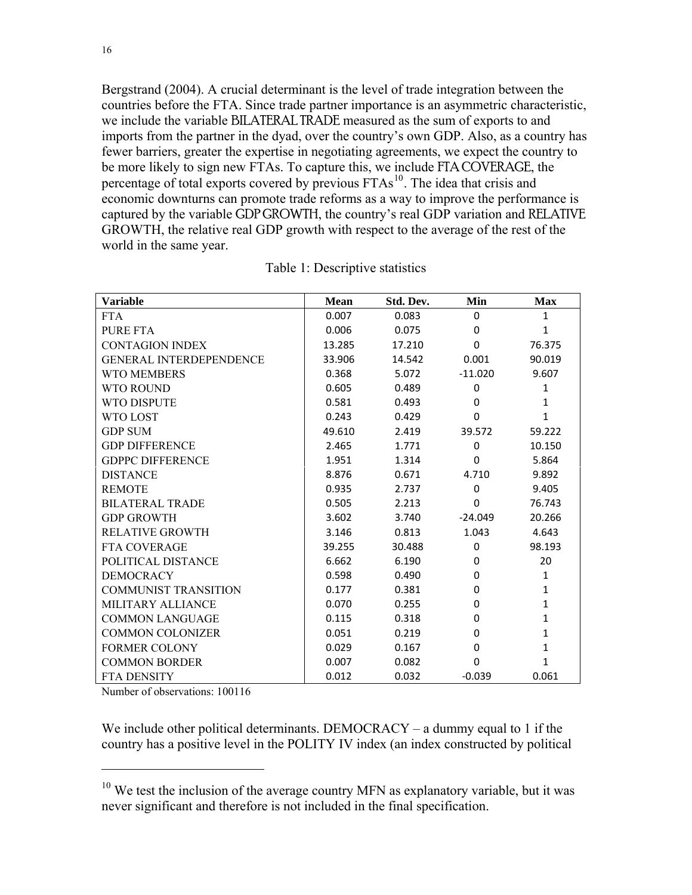Bergstrand (2004). A crucial determinant is the level of trade integration between the countries before the FTA. Since trade partner importance is an asymmetric characteristic, we include the variable BILATERAL TRADE measured as the sum of exports to and imports from the partner in the dyad, over the country's own GDP. Also, as a country has fewer barriers, greater the expertise in negotiating agreements, we expect the country to be more likely to sign new FTAs. To capture this, we include FTA COVERAGE, the percentage of total exports covered by previous FTAs<sup>10</sup>. The idea that crisis and economic downturns can promote trade reforms as a way to improve the performance is captured by the variable GDP GROWTH, the country's real GDP variation and RELATIVE GROWTH, the relative real GDP growth with respect to the average of the rest of the world in the same year.

| Variable                       | <b>Mean</b> | Std. Dev. | Min       | <b>Max</b>   |
|--------------------------------|-------------|-----------|-----------|--------------|
| <b>FTA</b>                     | 0.007       | 0.083     | $\Omega$  | $\mathbf{1}$ |
| <b>PURE FTA</b>                | 0.006       | 0.075     | 0         | $\mathbf{1}$ |
| <b>CONTAGION INDEX</b>         | 13.285      | 17.210    | 0         | 76.375       |
| <b>GENERAL INTERDEPENDENCE</b> | 33.906      | 14.542    | 0.001     | 90.019       |
| <b>WTO MEMBERS</b>             | 0.368       | 5.072     | $-11.020$ | 9.607        |
| <b>WTO ROUND</b>               | 0.605       | 0.489     | 0         | $\mathbf{1}$ |
| <b>WTO DISPUTE</b>             | 0.581       | 0.493     | 0         | 1            |
| WTO LOST                       | 0.243       | 0.429     | 0         | $\mathbf{1}$ |
| <b>GDP SUM</b>                 | 49.610      | 2.419     | 39.572    | 59.222       |
| <b>GDP DIFFERENCE</b>          | 2.465       | 1.771     | 0         | 10.150       |
| <b>GDPPC DIFFERENCE</b>        | 1.951       | 1.314     | 0         | 5.864        |
| <b>DISTANCE</b>                | 8.876       | 0.671     | 4.710     | 9.892        |
| <b>REMOTE</b>                  | 0.935       | 2.737     | $\Omega$  | 9.405        |
| <b>BILATERAL TRADE</b>         | 0.505       | 2.213     | 0         | 76.743       |
| <b>GDP GROWTH</b>              | 3.602       | 3.740     | $-24.049$ | 20.266       |
| <b>RELATIVE GROWTH</b>         | 3.146       | 0.813     | 1.043     | 4.643        |
| <b>FTA COVERAGE</b>            | 39.255      | 30.488    | 0         | 98.193       |
| POLITICAL DISTANCE             | 6.662       | 6.190     | 0         | 20           |
| <b>DEMOCRACY</b>               | 0.598       | 0.490     | 0         | 1            |
| <b>COMMUNIST TRANSITION</b>    | 0.177       | 0.381     | 0         | 1            |
| MILITARY ALLIANCE              | 0.070       | 0.255     | 0         | $\mathbf{1}$ |
| <b>COMMON LANGUAGE</b>         | 0.115       | 0.318     | 0         | $\mathbf{1}$ |
| <b>COMMON COLONIZER</b>        | 0.051       | 0.219     | 0         | 1            |
| <b>FORMER COLONY</b>           | 0.029       | 0.167     | 0         | $\mathbf{1}$ |
| <b>COMMON BORDER</b>           | 0.007       | 0.082     | 0         | 1            |
| FTA DENSITY                    | 0.012       | 0.032     | $-0.039$  | 0.061        |

Table 1: Descriptive statistics

Number of observations: 100116

 $\overline{a}$ 

We include other political determinants. DEMOCRACY – a dummy equal to 1 if the country has a positive level in the POLITY IV index (an index constructed by political

 $10$  We test the inclusion of the average country MFN as explanatory variable, but it was never significant and therefore is not included in the final specification.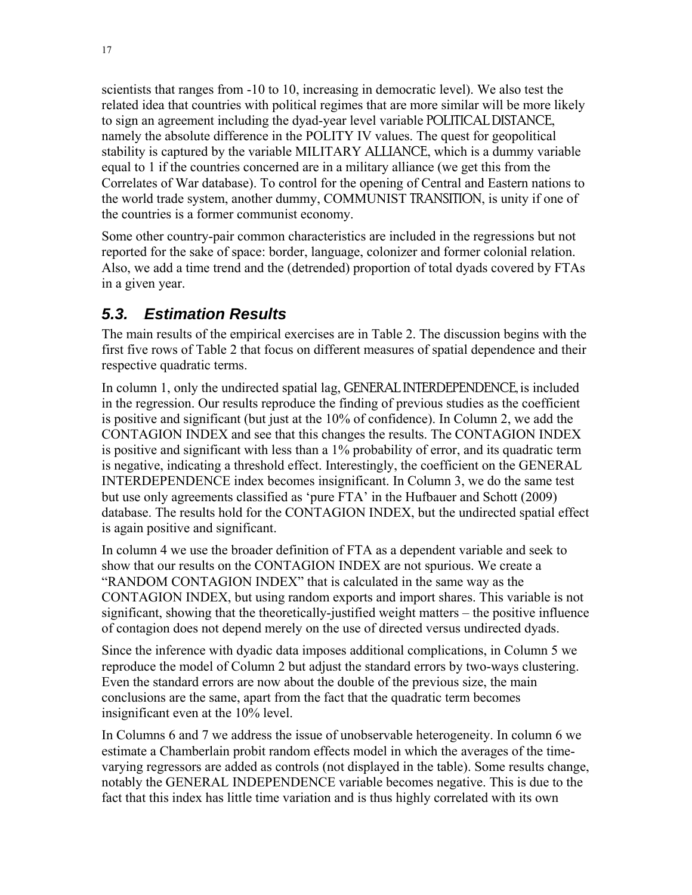scientists that ranges from -10 to 10, increasing in democratic level). We also test the related idea that countries with political regimes that are more similar will be more likely to sign an agreement including the dyad-year level variable POLITICAL DISTANCE, namely the absolute difference in the POLITY IV values. The quest for geopolitical stability is captured by the variable MILITARY ALLIANCE, which is a dummy variable equal to 1 if the countries concerned are in a military alliance (we get this from the Correlates of War database). To control for the opening of Central and Eastern nations to the world trade system, another dummy, COMMUNIST TRANSITION, is unity if one of the countries is a former communist economy.

Some other country-pair common characteristics are included in the regressions but not reported for the sake of space: border, language, colonizer and former colonial relation. Also, we add a time trend and the (detrended) proportion of total dyads covered by FTAs in a given year.

## **5.3. Estimation Results**

The main results of the empirical exercises are in Table 2. The discussion begins with the first five rows of Table 2 that focus on different measures of spatial dependence and their respective quadratic terms.

In column 1, only the undirected spatial lag, GENERAL INTERDEPENDENCE, is included in the regression. Our results reproduce the finding of previous studies as the coefficient is positive and significant (but just at the 10% of confidence). In Column 2, we add the CONTAGION INDEX and see that this changes the results. The CONTAGION INDEX is positive and significant with less than a 1% probability of error, and its quadratic term is negative, indicating a threshold effect. Interestingly, the coefficient on the GENERAL INTERDEPENDENCE index becomes insignificant. In Column 3, we do the same test but use only agreements classified as 'pure FTA' in the Hufbauer and Schott (2009) database. The results hold for the CONTAGION INDEX, but the undirected spatial effect is again positive and significant.

In column 4 we use the broader definition of FTA as a dependent variable and seek to show that our results on the CONTAGION INDEX are not spurious. We create a "RANDOM CONTAGION INDEX" that is calculated in the same way as the CONTAGION INDEX, but using random exports and import shares. This variable is not significant, showing that the theoretically-justified weight matters – the positive influence of contagion does not depend merely on the use of directed versus undirected dyads.

Since the inference with dyadic data imposes additional complications, in Column 5 we reproduce the model of Column 2 but adjust the standard errors by two-ways clustering. Even the standard errors are now about the double of the previous size, the main conclusions are the same, apart from the fact that the quadratic term becomes insignificant even at the 10% level.

In Columns 6 and 7 we address the issue of unobservable heterogeneity. In column 6 we estimate a Chamberlain probit random effects model in which the averages of the timevarying regressors are added as controls (not displayed in the table). Some results change, notably the GENERAL INDEPENDENCE variable becomes negative. This is due to the fact that this index has little time variation and is thus highly correlated with its own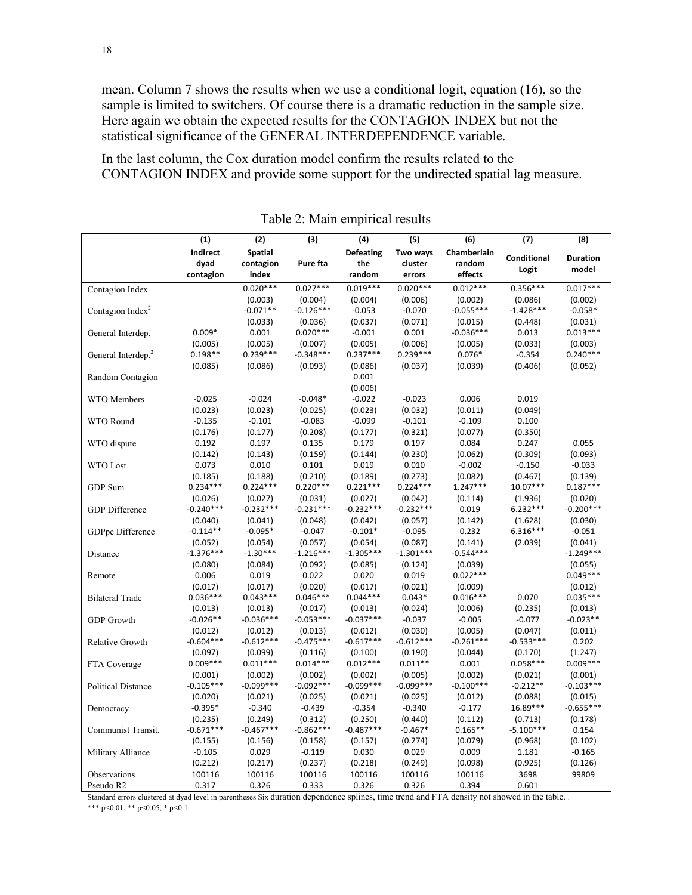mean. Column 7 shows the results when we use a conditional logit, equation (16), so the sample is limited to switchers. Of course there is a dramatic reduction in the sample size. Here again we obtain the expected results for the CONTAGION INDEX but not the statistical significance of the GENERAL INTERDEPENDENCE variable.

In the last column, the Cox duration model confirm the results related to the CONTAGION INDEX and provide some support for the undirected spatial lag measure.

|                                | (1)         | (2)            | (3)         | (4)              | (5)         | (6)         | (7)         | (8)             |
|--------------------------------|-------------|----------------|-------------|------------------|-------------|-------------|-------------|-----------------|
|                                | Indirect    | <b>Spatial</b> |             | <b>Defeating</b> | Two ways    | Chamberlain |             |                 |
|                                | dyad        | contagion      | Pure fta    | the              | cluster     | random      | Conditional | <b>Duration</b> |
|                                | contagion   | index          |             | random           | errors      | effects     | Logit       | model           |
| Contagion Index                |             | $0.020***$     | $0.027***$  | $0.019***$       | $0.020***$  | $0.012***$  | $0.356***$  | $0.017***$      |
|                                |             | (0.003)        | (0.004)     | (0.004)          | (0.006)     | (0.002)     | (0.086)     | (0.002)         |
| Contagion Index <sup>2</sup>   |             | $-0.071**$     | $-0.126***$ | $-0.053$         | $-0.070$    | $-0.055***$ | $-1.428***$ | $-0.058*$       |
|                                |             | (0.033)        | (0.036)     | (0.037)          | (0.071)     | (0.015)     | (0.448)     | (0.031)         |
| General Interdep.              | $0.009*$    | 0.001          | $0.020***$  | $-0.001$         | 0.001       | $-0.036***$ | 0.013       | $0.013***$      |
|                                | (0.005)     | (0.005)        | (0.007)     | (0.005)          | (0.006)     | (0.005)     | (0.033)     | (0.003)         |
| General Interdep. <sup>2</sup> | $0.198**$   | $0.239***$     | $-0.348***$ | $0.237***$       | $0.239***$  | $0.076*$    | $-0.354$    | $0.240***$      |
|                                | (0.085)     | (0.086)        | (0.093)     | (0.086)          | (0.037)     | (0.039)     | (0.406)     | (0.052)         |
| Random Contagion               |             |                |             | 0.001            |             |             |             |                 |
|                                |             |                |             | (0.006)          |             |             |             |                 |
| WTO Members                    | $-0.025$    | $-0.024$       | $-0.048*$   | $-0.022$         | $-0.023$    | 0.006       | 0.019       |                 |
|                                | (0.023)     | (0.023)        | (0.025)     | (0.023)          | (0.032)     | (0.011)     | (0.049)     |                 |
| WTO Round                      | $-0.135$    | $-0.101$       | $-0.083$    | $-0.099$         | $-0.101$    | $-0.109$    | 0.100       |                 |
|                                | (0.176)     | (0.177)        | (0.208)     | (0.177)          | (0.321)     | (0.077)     | (0.350)     |                 |
| WTO dispute                    | 0.192       | 0.197          | 0.135       | 0.179            | 0.197       | 0.084       | 0.247       | 0.055           |
|                                | (0.142)     | (0.143)        | (0.159)     | (0.144)          | (0.230)     | (0.062)     | (0.309)     | (0.093)         |
| <b>WTO</b> Lost                | 0.073       | 0.010          | 0.101       | 0.019            | 0.010       | $-0.002$    | $-0.150$    | $-0.033$        |
|                                | (0.185)     | (0.188)        | (0.210)     | (0.189)          | (0.273)     | (0.082)     | (0.467)     | (0.139)         |
| GDP Sum                        | $0.234***$  | $0.224***$     | $0.220***$  | $0.221***$       | $0.224***$  | $1.247***$  | $10.07***$  | $0.187***$      |
|                                | (0.026)     | (0.027)        | (0.031)     | (0.027)          | (0.042)     | (0.114)     | (1.936)     | (0.020)         |
| <b>GDP</b> Difference          | $-0.240***$ | $-0.232***$    | $-0.231***$ | $-0.232***$      | $-0.232***$ | 0.019       | $6.232***$  | $-0.200***$     |
|                                | (0.040)     | (0.041)        | (0.048)     | (0.042)          | (0.057)     | (0.142)     | (1.628)     | (0.030)         |
| GDPpc Difference               | $-0.114**$  | $-0.095*$      | $-0.047$    | $-0.101*$        | $-0.095$    | 0.232       | $6.316***$  | $-0.051$        |
|                                | (0.052)     | (0.054)        | (0.057)     | (0.054)          | (0.087)     | (0.141)     | (2.039)     | (0.041)         |
| Distance                       | $-1.376***$ | $-1.30***$     | $-1.216***$ | $-1.305***$      | $-1.301***$ | $-0.544***$ |             | $-1.249***$     |
|                                | (0.080)     | (0.084)        | (0.092)     | (0.085)          | (0.124)     | (0.039)     |             | (0.055)         |
| Remote                         | 0.006       | 0.019          | 0.022       | 0.020            | 0.019       | $0.022***$  |             | $0.049***$      |
|                                | (0.017)     | (0.017)        | (0.020)     | (0.017)          | (0.021)     | (0.009)     |             | (0.012)         |
| <b>Bilateral Trade</b>         | $0.036***$  | $0.043***$     | $0.046***$  | $0.044***$       | $0.043*$    | $0.016***$  | 0.070       | $0.035***$      |
|                                | (0.013)     | (0.013)        | (0.017)     | (0.013)          | (0.024)     | (0.006)     | (0.235)     | (0.013)         |
| <b>GDP</b> Growth              | $-0.026**$  | $-0.036***$    | $-0.053***$ | $-0.037***$      | $-0.037$    | $-0.005$    | $-0.077$    | $-0.023**$      |
|                                | (0.012)     | (0.012)        | (0.013)     | (0.012)          | (0.030)     | (0.005)     | (0.047)     | (0.011)         |
| Relative Growth                | $-0.604***$ | $-0.612***$    | $-0.475***$ | $-0.617***$      | $-0.612***$ | $-0.261***$ | $-0.533***$ | 0.202           |
|                                | (0.097)     | (0.099)        | (0.116)     | (0.100)          | (0.190)     | (0.044)     | (0.170)     | (1.247)         |
| FTA Coverage                   | $0.009***$  | $0.011***$     | $0.014***$  | $0.012***$       | $0.011**$   | 0.001       | $0.058***$  | $0.009***$      |
|                                | (0.001)     | (0.002)        | (0.002)     | (0.002)          | (0.005)     | (0.002)     | (0.021)     | (0.001)         |
| <b>Political Distance</b>      | $-0.105***$ | $-0.099***$    | $-0.092***$ | $-0.099***$      | $-0.099***$ | $-0.100***$ | $-0.212**$  | $-0.103***$     |
|                                | (0.020)     | (0.021)        | (0.025)     | (0.021)          | (0.025)     | (0.012)     | (0.088)     | (0.015)         |
| Democracy                      | $-0.395*$   | $-0.340$       | $-0.439$    | $-0.354$         | $-0.340$    | $-0.177$    | 16.89***    | $-0.655***$     |
|                                | (0.235)     | (0.249)        | (0.312)     | (0.250)          | (0.440)     | (0.112)     | (0.713)     | (0.178)         |
| Communist Transit.             | $-0.671***$ | $-0.467***$    | $-0.862***$ | $-0.487***$      | $-0.467*$   | $0.165**$   | $-5.100***$ | 0.154           |
|                                | (0.155)     | (0.156)        | (0.158)     | (0.157)          | (0.274)     | (0.079)     | (0.968)     | (0.102)         |
| Military Alliance              | $-0.105$    | 0.029          | $-0.119$    | 0.030            | 0.029       | 0.009       | 1.181       | $-0.165$        |
|                                | (0.212)     | (0.217)        | (0.237)     | (0.218)          | (0.249)     | (0.098)     | (0.925)     | (0.126)         |
| Observations                   | 100116      | 100116         | 100116      | 100116           | 100116      | 100116      | 3698        | 99809           |
| Pseudo R2                      | 0.317       | 0.326          | 0.333       | 0.326            | 0.326       | 0.394       | 0.601       |                 |
|                                |             |                |             |                  |             |             |             |                 |

Table 2: Main empirical results

Standard errors clustered at dyad level in parentheses Six duration dependence splines, time trend and FTA density not showed in the table. .

\*\*\* p<0.01, \*\* p<0.05, \* p<0.1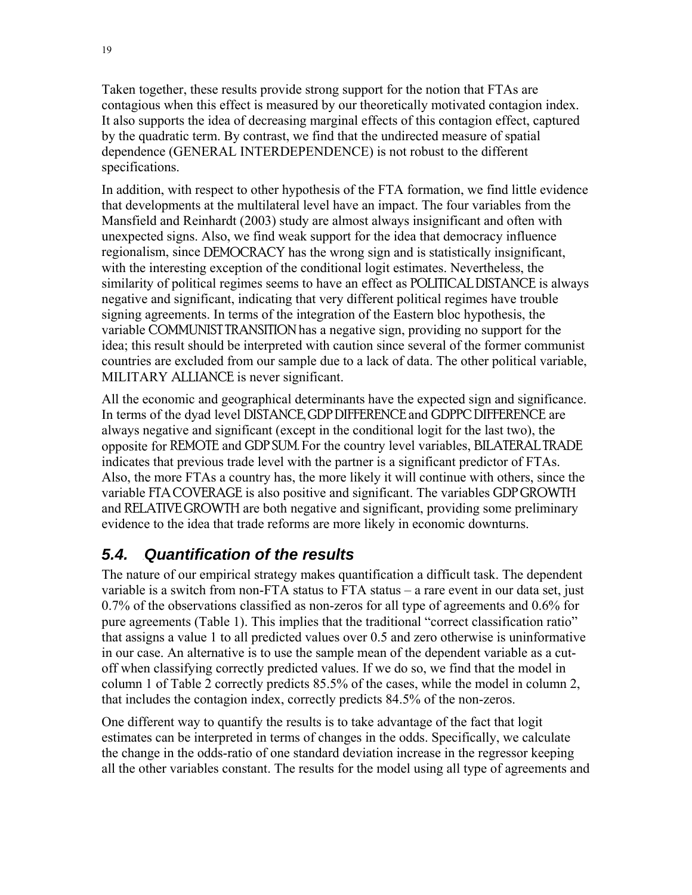Taken together, these results provide strong support for the notion that FTAs are contagious when this effect is measured by our theoretically motivated contagion index. It also supports the idea of decreasing marginal effects of this contagion effect, captured by the quadratic term. By contrast, we find that the undirected measure of spatial dependence (GENERAL INTERDEPENDENCE) is not robust to the different specifications.

In addition, with respect to other hypothesis of the FTA formation, we find little evidence that developments at the multilateral level have an impact. The four variables from the Mansfield and Reinhardt (2003) study are almost always insignificant and often with unexpected signs. Also, we find weak support for the idea that democracy influence regionalism, since DEMOCRACY has the wrong sign and is statistically insignificant, with the interesting exception of the conditional logit estimates. Nevertheless, the similarity of political regimes seems to have an effect as POLITICAL DISTANCE is always negative and significant, indicating that very different political regimes have trouble signing agreements. In terms of the integration of the Eastern bloc hypothesis, the variable COMMUNIST TRANSITION has a negative sign, providing no support for the idea; this result should be interpreted with caution since several of the former communist countries are excluded from our sample due to a lack of data. The other political variable, MILITARY ALLIANCE is never significant.

All the economic and geographical determinants have the expected sign and significance. In terms of the dyad level DISTANCE, GDP DIFFERENCE and GDPPC DIFFERENCE are always negative and significant (except in the conditional logit for the last two), the opposite for REMOTE and GDP SUM. For the country level variables, BILATERAL TRADE indicates that previous trade level with the partner is a significant predictor of FTAs. Also, the more FTAs a country has, the more likely it will continue with others, since the variable FTA COVERAGE is also positive and significant. The variables GDP GROWTH and RELATIVE GROWTH are both negative and significant, providing some preliminary evidence to the idea that trade reforms are more likely in economic downturns.

## **5.4.** Quantification of the results

The nature of our empirical strategy makes quantification a difficult task. The dependent variable is a switch from non-FTA status to FTA status – a rare event in our data set, just 0.7% of the observations classified as non-zeros for all type of agreements and 0.6% for pure agreements (Table 1). This implies that the traditional "correct classification ratio" that assigns a value 1 to all predicted values over 0.5 and zero otherwise is uninformative in our case. An alternative is to use the sample mean of the dependent variable as a cutoff when classifying correctly predicted values. If we do so, we find that the model in column 1 of Table 2 correctly predicts 85.5% of the cases, while the model in column 2, that includes the contagion index, correctly predicts 84.5% of the non-zeros.

One different way to quantify the results is to take advantage of the fact that logit estimates can be interpreted in terms of changes in the odds. Specifically, we calculate the change in the odds-ratio of one standard deviation increase in the regressor keeping all the other variables constant. The results for the model using all type of agreements and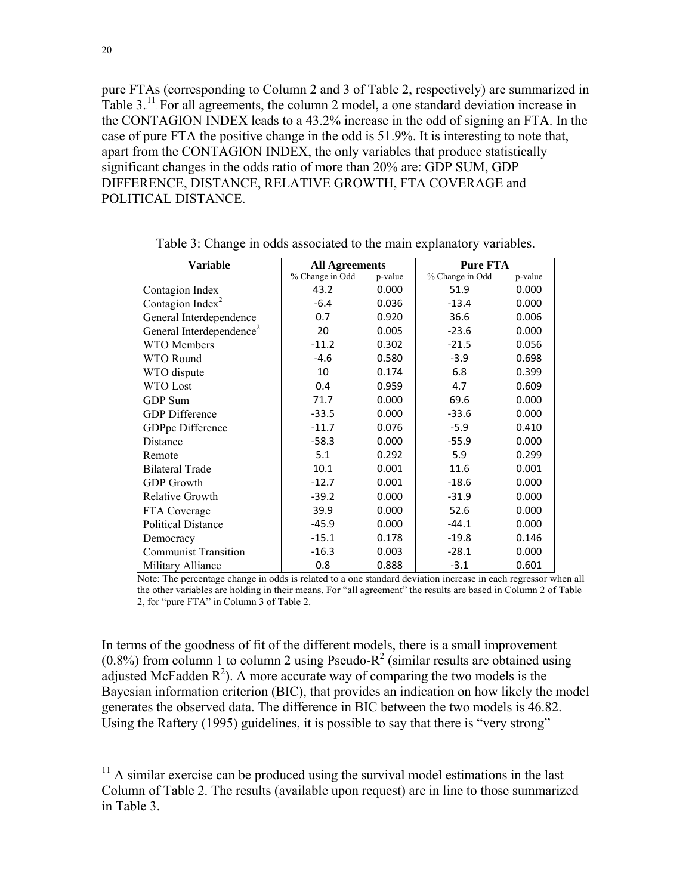pure FTAs (corresponding to Column 2 and 3 of Table 2, respectively) are summarized in Table  $3<sup>11</sup>$  For all agreements, the column 2 model, a one standard deviation increase in the CONTAGION INDEX leads to a 43.2% increase in the odd of signing an FTA. In the case of pure FTA the positive change in the odd is 51.9%. It is interesting to note that, apart from the CONTAGION INDEX, the only variables that produce statistically significant changes in the odds ratio of more than 20% are: GDP SUM, GDP DIFFERENCE, DISTANCE, RELATIVE GROWTH, FTA COVERAGE and POLITICAL DISTANCE.

| <b>Variable</b>                      | <b>All Agreements</b> |         | <b>Pure FTA</b> |         |
|--------------------------------------|-----------------------|---------|-----------------|---------|
|                                      | % Change in Odd       | p-value | % Change in Odd | p-value |
| Contagion Index                      | 43.2                  | 0.000   | 51.9            | 0.000   |
| Contagion Index <sup>2</sup>         | $-6.4$                | 0.036   | $-13.4$         | 0.000   |
| General Interdependence              | 0.7                   | 0.920   | 36.6            | 0.006   |
| General Interdependence <sup>2</sup> | 20                    | 0.005   | $-23.6$         | 0.000   |
| <b>WTO</b> Members                   | $-11.2$               | 0.302   | $-21.5$         | 0.056   |
| WTO Round                            | $-4.6$                | 0.580   | $-3.9$          | 0.698   |
| WTO dispute                          | 10                    | 0.174   | 6.8             | 0.399   |
| <b>WTO Lost</b>                      | 0.4                   | 0.959   | 4.7             | 0.609   |
| GDP Sum                              | 71.7                  | 0.000   | 69.6            | 0.000   |
| <b>GDP</b> Difference                | $-33.5$               | 0.000   | $-33.6$         | 0.000   |
| GDPpc Difference                     | $-11.7$               | 0.076   | $-5.9$          | 0.410   |
| Distance                             | $-58.3$               | 0.000   | $-55.9$         | 0.000   |
| Remote                               | 5.1                   | 0.292   | 5.9             | 0.299   |
| <b>Bilateral Trade</b>               | 10.1                  | 0.001   | 11.6            | 0.001   |
| <b>GDP</b> Growth                    | $-12.7$               | 0.001   | $-18.6$         | 0.000   |
| Relative Growth                      | $-39.2$               | 0.000   | $-31.9$         | 0.000   |
| FTA Coverage                         | 39.9                  | 0.000   | 52.6            | 0.000   |
| <b>Political Distance</b>            | $-45.9$               | 0.000   | $-44.1$         | 0.000   |
| Democracy                            | $-15.1$               | 0.178   | $-19.8$         | 0.146   |
| <b>Communist Transition</b>          | $-16.3$               | 0.003   | $-28.1$         | 0.000   |
| Military Alliance                    | 0.8                   | 0.888   | $-3.1$          | 0.601   |

Table 3: Change in odds associated to the main explanatory variables.

Note: The percentage change in odds is related to a one standard deviation increase in each regressor when all the other variables are holding in their means. For "all agreement" the results are based in Column 2 of Table 2, for "pure FTA" in Column 3 of Table 2.

In terms of the goodness of fit of the different models, there is a small improvement  $(0.8\%)$  from column 1 to column 2 using Pseudo-R<sup>2</sup> (similar results are obtained using adjusted McFadden  $\mathbb{R}^2$ ). A more accurate way of comparing the two models is the Bayesian information criterion (BIC), that provides an indication on how likely the model generates the observed data. The difference in BIC between the two models is 46.82. Using the Raftery (1995) guidelines, it is possible to say that there is "very strong"

 $11$  A similar exercise can be produced using the survival model estimations in the last Column of Table 2. The results (available upon request) are in line to those summarized in Table 3.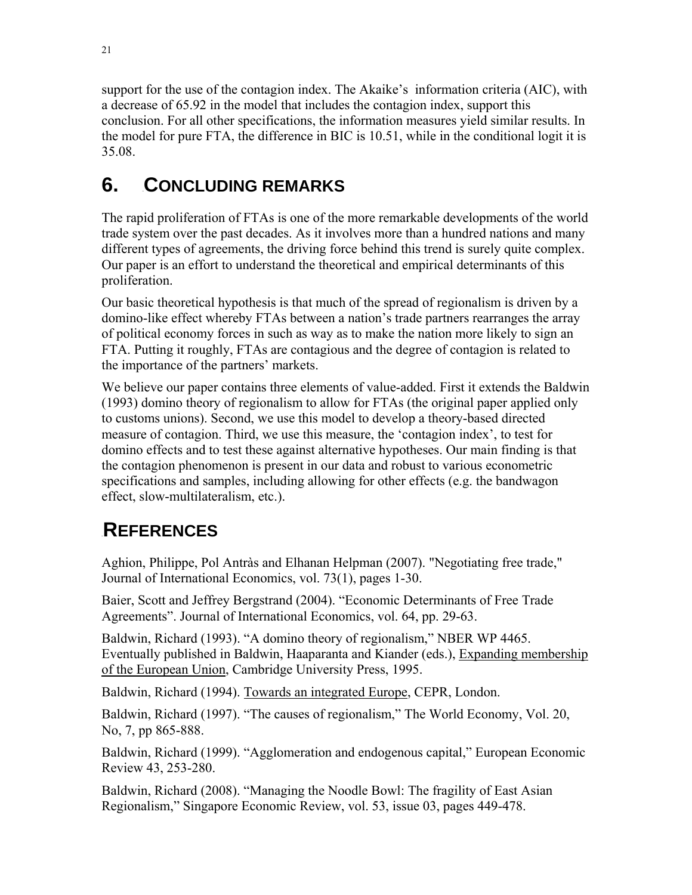support for the use of the contagion index. The Akaike's information criteria (AIC), with a decrease of 65.92 in the model that includes the contagion index, support this conclusion. For all other specifications, the information measures yield similar results. In the model for pure FTA, the difference in BIC is 10.51, while in the conditional logit it is 35.08.

# **6. CONCLUDING REMARKS**

The rapid proliferation of FTAs is one of the more remarkable developments of the world trade system over the past decades. As it involves more than a hundred nations and many different types of agreements, the driving force behind this trend is surely quite complex. Our paper is an effort to understand the theoretical and empirical determinants of this proliferation.

Our basic theoretical hypothesis is that much of the spread of regionalism is driven by a domino-like effect whereby FTAs between a nation's trade partners rearranges the array of political economy forces in such as way as to make the nation more likely to sign an FTA. Putting it roughly, FTAs are contagious and the degree of contagion is related to the importance of the partners' markets.

We believe our paper contains three elements of value-added. First it extends the Baldwin (1993) domino theory of regionalism to allow for FTAs (the original paper applied only to customs unions). Second, we use this model to develop a theory-based directed measure of contagion. Third, we use this measure, the 'contagion index', to test for domino effects and to test these against alternative hypotheses. Our main finding is that the contagion phenomenon is present in our data and robust to various econometric specifications and samples, including allowing for other effects (e.g. the bandwagon effect, slow-multilateralism, etc.).

# 6B**REFERENCES**

Aghion, Philippe, Pol Antràs and Elhanan Helpman (2007). "Negotiating free trade," Journal of International Economics, vol. 73(1), pages 1-30.

Baier, Scott and Jeffrey Bergstrand (2004). "Economic Determinants of Free Trade Agreements". Journal of International Economics, vol. 64, pp. 29-63.

Baldwin, Richard (1993). "A domino theory of regionalism," NBER WP 4465. Eventually published in Baldwin, Haaparanta and Kiander (eds.), Expanding membership of the European Union, Cambridge University Press, 1995.

Baldwin, Richard (1994). Towards an integrated Europe, CEPR, London.

Baldwin, Richard (1997). "The causes of regionalism," The World Economy, Vol. 20, No, 7, pp 865-888.

Baldwin, Richard (1999). "Agglomeration and endogenous capital," European Economic Review 43, 253-280.

Baldwin, Richard (2008). "Managing the Noodle Bowl: The fragility of East Asian Regionalism," Singapore Economic Review, vol. 53, issue 03, pages 449-478.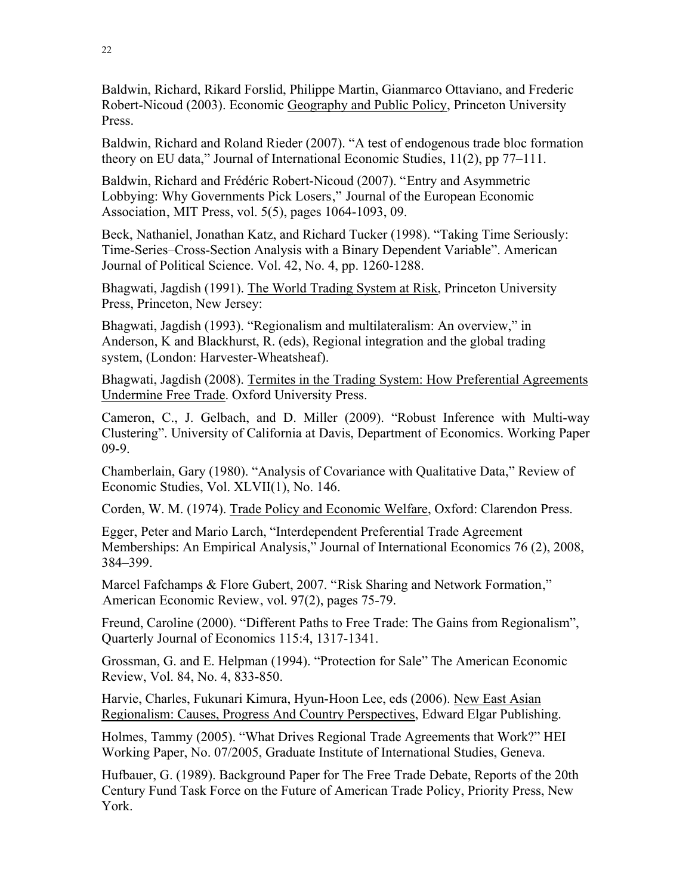Baldwin, Richard, Rikard Forslid, Philippe Martin, Gianmarco Ottaviano, and Frederic Robert-Nicoud (2003). Economic Geography and Public Policy, Princeton University Press.

Baldwin, Richard and Roland Rieder (2007). "A test of endogenous trade bloc formation theory on EU data," Journal of International Economic Studies, 11(2), pp 77–111.

Baldwin, Richard and Frédéric Robert-Nicoud (2007). "Entry and Asymmetric Lobbying: Why Governments Pick Losers," Journal of the European Economic Association, MIT Press, vol.  $5(5)$ , pages 1064-1093, 09.

Beck, Nathaniel, Jonathan Katz, and Richard Tucker (1998). "Taking Time Seriously: Time-Series–Cross-Section Analysis with a Binary Dependent Variable". American Journal of Political Science. Vol. 42, No. 4, pp. 1260-1288.

Bhagwati, Jagdish (1991). The World Trading System at Risk, Princeton University Press, Princeton, New Jersey:

Bhagwati, Jagdish (1993). "Regionalism and multilateralism: An overview," in Anderson, K and Blackhurst, R. (eds), Regional integration and the global trading system, (London: Harvester-Wheatsheaf).

Bhagwati, Jagdish (2008). Termites in the Trading System: How Preferential Agreements Undermine Free Trade. Oxford University Press.

Cameron, C., J. Gelbach, and D. Miller (2009). "Robust Inference with Multi-way Clustering". University of California at Davis, Department of Economics. Working Paper 09-9.

Chamberlain, Gary (1980). "Analysis of Covariance with Qualitative Data," Review of Economic Studies, Vol. XLVII(1), No. 146.

Corden, W. M. (1974). Trade Policy and Economic Welfare, Oxford: Clarendon Press.

Egger, Peter and Mario Larch, "Interdependent Preferential Trade Agreement Memberships: An Empirical Analysis," Journal of International Economics 76 (2), 2008, 384–399.

Marcel Fafchamps & Flore Gubert, 2007. "Risk Sharing and Network Formation," American Economic Review, vol. 97(2), pages 75-79.

Freund, Caroline (2000). "Different Paths to Free Trade: The Gains from Regionalism", Quarterly Journal of Economics 115:4, 1317-1341.

Grossman, G. and E. Helpman (1994). "Protection for Sale" The American Economic Review, Vol. 84, No. 4, 833-850.

Harvie, Charles, Fukunari Kimura, Hyun-Hoon Lee, eds (2006). New East Asian Regionalism: Causes, Progress And Country Perspectives, Edward Elgar Publishing.

Holmes, Tammy (2005). "What Drives Regional Trade Agreements that Work?" HEI Working Paper, No. 07/2005, Graduate Institute of International Studies, Geneva.

Hufbauer, G. (1989). Background Paper for The Free Trade Debate, Reports of the 20th Century Fund Task Force on the Future of American Trade Policy, Priority Press, New York.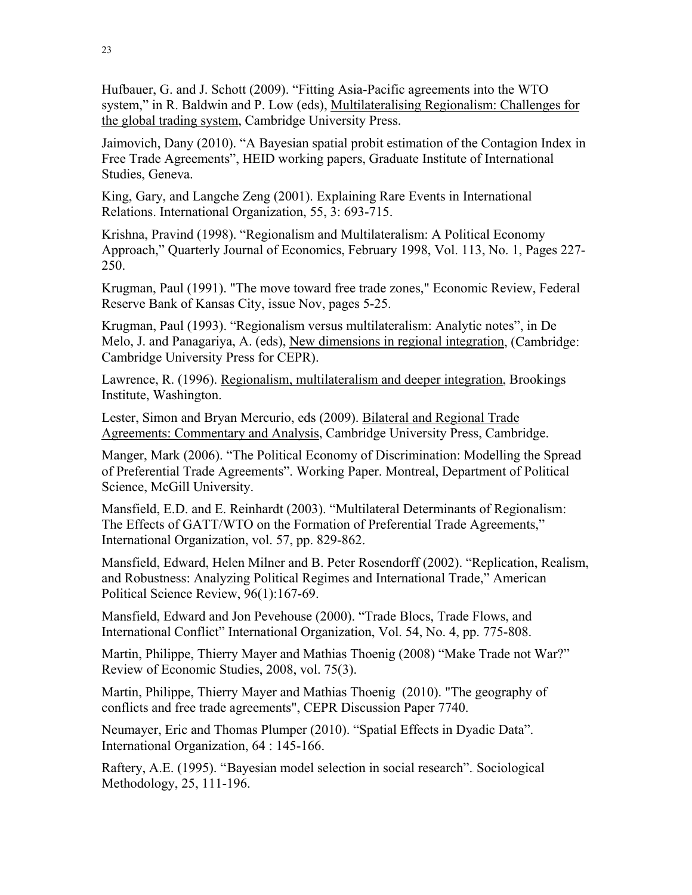Hufbauer, G. and J. Schott (2009). "Fitting Asia-Pacific agreements into the WTO system," in R. Baldwin and P. Low (eds), Multilateralising Regionalism: Challenges for the global trading system, Cambridge University Press.

Jaimovich, Dany (2010). "A Bayesian spatial probit estimation of the Contagion Index in Free Trade Agreements", HEID working papers, Graduate Institute of International Studies, Geneva.

King, Gary, and Langche Zeng (2001). Explaining Rare Events in International Relations. International Organization, 55, 3: 693-715.

Krishna, Pravind (1998). "Regionalism and Multilateralism: A Political Economy Approach," Quarterly Journal of Economics, February 1998, Vol. 113, No. 1, Pages 227- 250.

Krugman, Paul (1991). "The move toward free trade zones," Economic Review, Federal Reserve Bank of Kansas City, issue Nov, pages 5-25.

Krugman, Paul (1993). "Regionalism versus multilateralism: Analytic notes", in De Melo, J. and Panagariya, A. (eds), New dimensions in regional integration, (Cambridge: Cambridge University Press for CEPR).

Lawrence, R. (1996). Regionalism, multilateralism and deeper integration, Brookings Institute, Washington.

Lester, Simon and Bryan Mercurio, eds (2009). Bilateral and Regional Trade Agreements: Commentary and Analysis, Cambridge University Press, Cambridge.

Manger, Mark (2006). "The Political Economy of Discrimination: Modelling the Spread of Preferential Trade Agreements". Working Paper. Montreal, Department of Political Science, McGill University.

Mansfield, E.D. and E. Reinhardt (2003). "Multilateral Determinants of Regionalism: The Effects of GATT/WTO on the Formation of Preferential Trade Agreements," International Organization, vol. 57, pp. 829-862.

Mansfield, Edward, Helen Milner and B. Peter Rosendorff (2002). "Replication, Realism, and Robustness: Analyzing Political Regimes and International Trade," American Political Science Review, 96(1):167-69.

Mansfield, Edward and Jon Pevehouse (2000). "Trade Blocs, Trade Flows, and International Conflict" International Organization, Vol. 54, No. 4, pp. 775-808.

Martin, Philippe, Thierry Mayer and Mathias Thoenig (2008) "Make Trade not War?" Review of Economic Studies, 2008, vol. 75(3).

Martin, Philippe, Thierry Mayer and Mathias Thoenig (2010). "The geography of conflicts and free trade agreements", CEPR Discussion Paper 7740.

Neumayer, Eric and Thomas Plumper (2010). "Spatial Effects in Dyadic Data". International Organization, 64 : 145-166.

Raftery, A.E. (1995). "Bayesian model selection in social research". Sociological Methodology, 25, 111-196.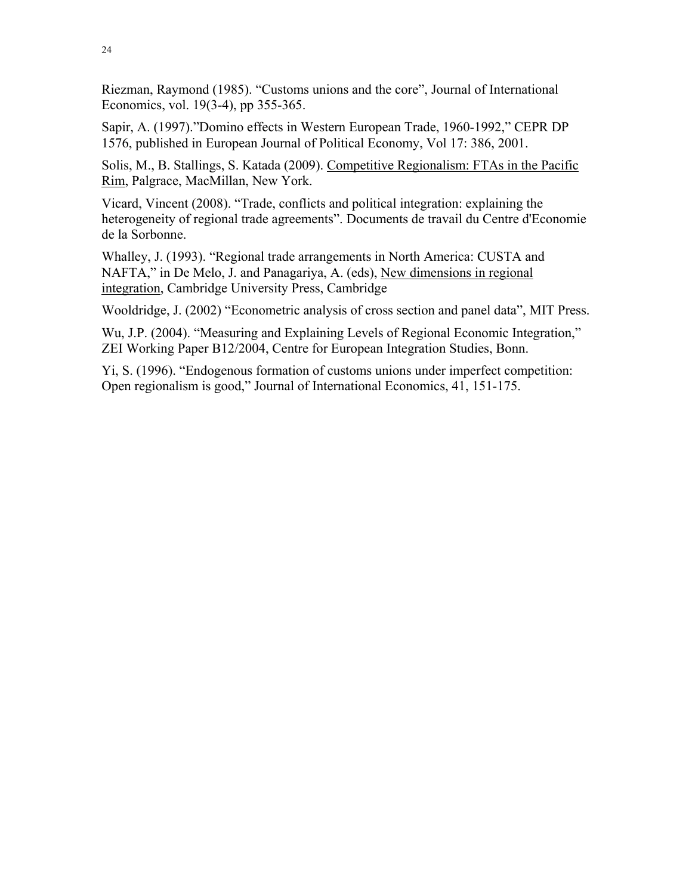Riezman, Raymond (1985). "Customs unions and the core", Journal of International Economics, vol. 19(3-4), pp 355-365.

Sapir, A. (1997)."Domino effects in Western European Trade, 1960-1992," CEPR DP 1576, published in European Journal of Political Economy, Vol 17: 386, 2001.

Solis, M., B. Stallings, S. Katada (2009). Competitive Regionalism: FTAs in the Pacific Rim, Palgrace, MacMillan, New York.

Vicard, Vincent (2008). "Trade, conflicts and political integration: explaining the heterogeneity of regional trade agreements". Documents de travail du Centre d'Economie de la Sorbonne.

Whalley, J. (1993). "Regional trade arrangements in North America: CUSTA and NAFTA," in De Melo, J. and Panagariya, A. (eds), New dimensions in regional integration, Cambridge University Press, Cambridge

Wooldridge, J. (2002) "Econometric analysis of cross section and panel data", MIT Press.

Wu, J.P. (2004). "Measuring and Explaining Levels of Regional Economic Integration," ZEI Working Paper B12/2004, Centre for European Integration Studies, Bonn.

Yi, S. (1996). "Endogenous formation of customs unions under imperfect competition: Open regionalism is good," Journal of International Economics, 41, 151-175.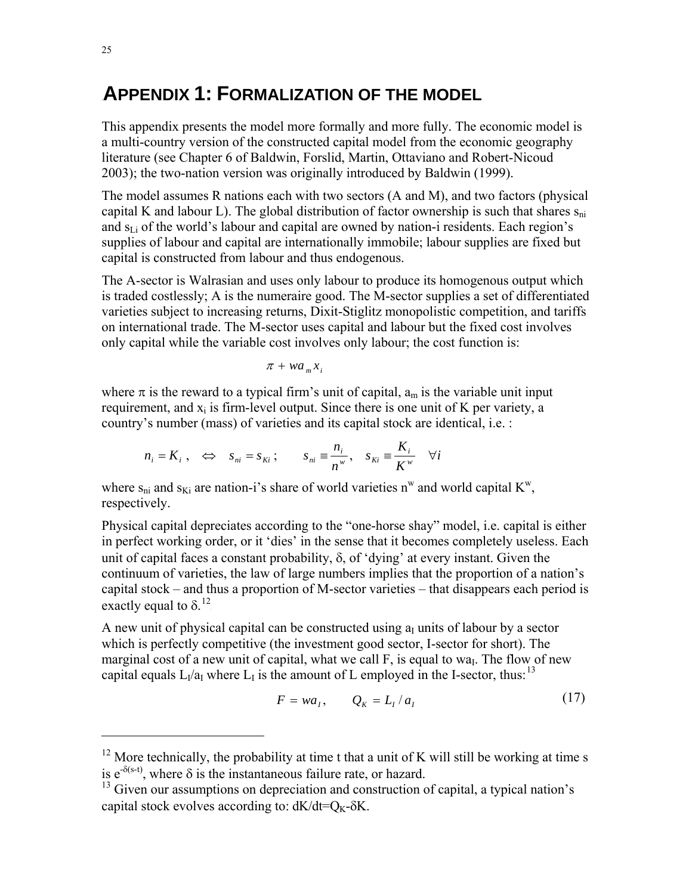# 7B**APPENDIX 1: FORMALIZATION OF THE MODEL**

This appendix presents the model more formally and more fully. The economic model is a multi-country version of the constructed capital model from the economic geography literature (see Chapter 6 of Baldwin, Forslid, Martin, Ottaviano and Robert-Nicoud 2003); the two-nation version was originally introduced by Baldwin (1999).

The model assumes R nations each with two sectors (A and M), and two factors (physical capital K and labour L). The global distribution of factor ownership is such that shares  $s_{ni}$ and  $s_{Li}$  of the world's labour and capital are owned by nation-i residents. Each region's supplies of labour and capital are internationally immobile; labour supplies are fixed but capital is constructed from labour and thus endogenous.

The A-sector is Walrasian and uses only labour to produce its homogenous output which is traded costlessly; A is the numeraire good. The M-sector supplies a set of differentiated varieties subject to increasing returns, Dixit-Stiglitz monopolistic competition, and tariffs on international trade. The M-sector uses capital and labour but the fixed cost involves only capital while the variable cost involves only labour; the cost function is:

$$
\pi + wa_m x_i
$$

where  $\pi$  is the reward to a typical firm's unit of capital,  $a_m$  is the variable unit input requirement, and  $x_i$  is firm-level output. Since there is one unit of K per variety, a country's number (mass) of varieties and its capital stock are identical, i.e. :

$$
n_i = K_i
$$
,  $\Leftrightarrow$   $s_{ni} = s_{Ki}$ ;  $s_{ni} = \frac{n_i}{n^w}$ ,  $s_{Ki} = \frac{K_i}{K^w}$   $\forall i$ 

where  $s_{ni}$  and  $s_{Ki}$  are nation-i's share of world varieties n<sup>w</sup> and world capital  $K^w$ , respectively.

Physical capital depreciates according to the "one-horse shay" model, i.e. capital is either in perfect working order, or it 'dies' in the sense that it becomes completely useless. Each unit of capital faces a constant probability,  $\delta$ , of 'dying' at every instant. Given the continuum of varieties, the law of large numbers implies that the proportion of a nation's capital stock – and thus a proportion of M-sector varieties – that disappears each period is exactly equal to  $\delta$ <sup>12</sup>.

A new unit of physical capital can be constructed using  $a<sub>I</sub>$  units of labour by a sector which is perfectly competitive (the investment good sector, I-sector for short). The marginal cost of a new unit of capital, what we call F, is equal to wa<sub>I</sub>. The flow of new capital equals  $L_1/a_I$  where  $L_1$  is the amount of L employed in the I-sector, thus:<sup>13</sup>

$$
F = wa_I, \qquad Q_K = L_I / a_I \tag{17}
$$

 $12$  More technically, the probability at time t that a unit of K will still be working at time s is  $e^{-\delta(s-t)}$ , where  $\delta$  is the instantaneous failure rate, or hazard.

 $13$  Given our assumptions on depreciation and construction of capital, a typical nation's capital stock evolves according to:  $dK/dt = Q_K - \delta K$ .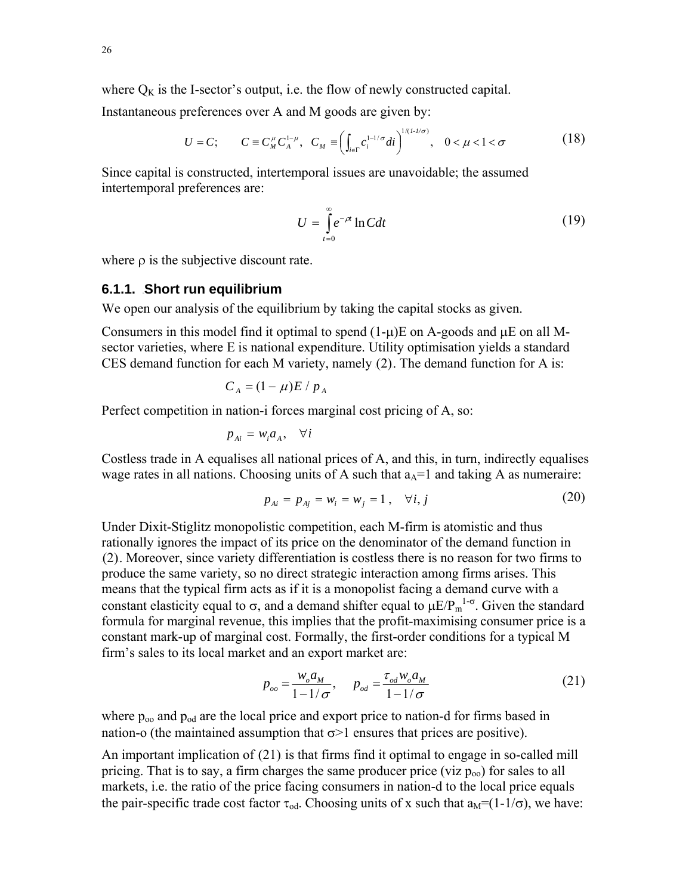where  $Q_K$  is the I-sector's output, i.e. the flow of newly constructed capital.

Instantaneous preferences over A and M goods are given by:

$$
U = C; \t C \equiv C_M^{\mu} C_A^{1-\mu}, \t C_M \equiv \left( \int_{i \in \Gamma} c_i^{1-1/\sigma} di \right)^{1/(1-1/\sigma)}, \t 0 < \mu < 1 < \sigma
$$
 (18)

Since capital is constructed, intertemporal issues are unavoidable; the assumed intertemporal preferences are:

$$
U = \int_{t=0}^{\infty} e^{-\rho t} \ln C dt
$$
 (19)

where  $\rho$  is the subjective discount rate.

#### **6.1.1. Short run equilibrium**

We open our analysis of the equilibrium by taking the capital stocks as given.

Consumers in this model find it optimal to spend  $(1-\mu)E$  on A-goods and  $\mu E$  on all Msector varieties, where E is national expenditure. Utility optimisation yields a standard CES demand function for each M variety, namely  $(2)$ . The demand function for A is:

$$
C_A = (1 - \mu)E / p_A
$$

Perfect competition in nation-i forces marginal cost pricing of A, so:

$$
p_{Ai} = w_i a_A, \quad \forall i
$$

Costless trade in A equalises all national prices of A, and this, in turn, indirectly equalises wage rates in all nations. Choosing units of A such that  $a<sub>A</sub>=1$  and taking A as numeraire:

$$
p_{Ai} = p_{Ai} = w_i = w_j = 1, \quad \forall i, j
$$
 (20)

Under Dixit-Stiglitz monopolistic competition, each M-firm is atomistic and thus rationally ignores the impact of its price on the denominator of the demand function in  $(2)$ . Moreover, since variety differentiation is costless there is no reason for two firms to produce the same variety, so no direct strategic interaction among firms arises. This means that the typical firm acts as if it is a monopolist facing a demand curve with a constant elasticity equal to  $\sigma$ , and a demand shifter equal to  $\mu E/P_m^{-1-\sigma}$ . Given the standard formula for marginal revenue, this implies that the profit-maximising consumer price is a constant mark-up of marginal cost. Formally, the first-order conditions for a typical M firm's sales to its local market and an export market are:

$$
p_{oo} = \frac{w_o a_M}{1 - 1/\sigma}, \qquad p_{od} = \frac{\tau_{od} w_o a_M}{1 - 1/\sigma} \tag{21}
$$

where  $p_{oo}$  and  $p_{od}$  are the local price and export price to nation-d for firms based in nation-o (the maintained assumption that  $\sigma$ >1 ensures that prices are positive).

An important implication of  $(21)$  is that firms find it optimal to engage in so-called mill pricing. That is to say, a firm charges the same producer price (viz  $p_{00}$ ) for sales to all markets, i.e. the ratio of the price facing consumers in nation-d to the local price equals the pair-specific trade cost factor  $\tau_{od}$ . Choosing units of x such that  $a_M = (1-1/\sigma)$ , we have: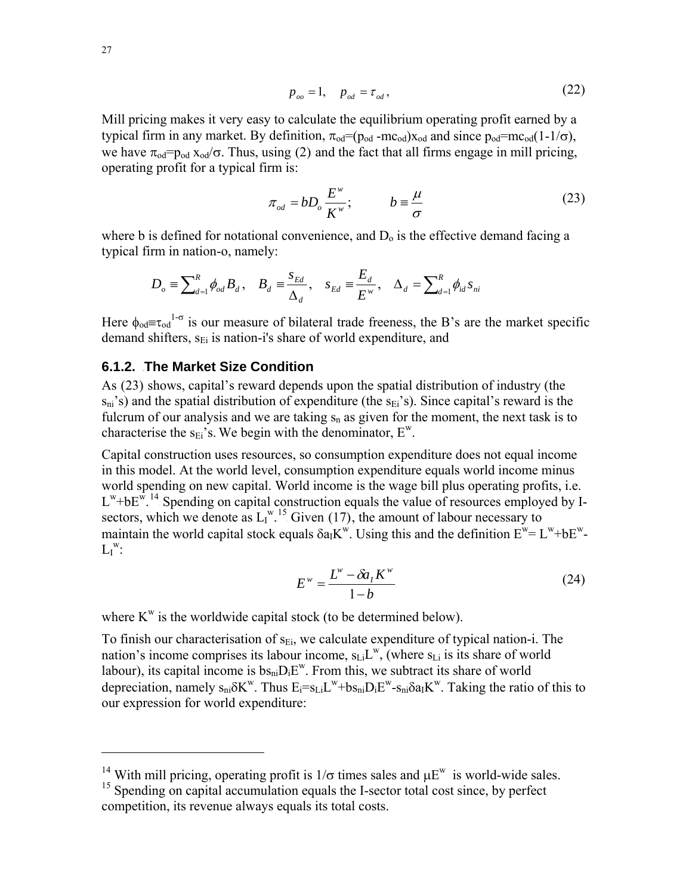$$
p_{oo} = 1, \quad p_{od} = \tau_{od} \,, \tag{22}
$$

Mill pricing makes it very easy to calculate the equilibrium operating profit earned by a typical firm in any market. By definition,  $\pi_{od} = (p_{od} - mc_{od})x_{od}$  and since  $p_{od} = mc_{od}(1-1/\sigma)$ , we have  $\pi_{\text{od}} = p_{\text{od}} x_{\text{od}} / \sigma$ . Thus, using (2) and the fact that all firms engage in mill pricing, operating profit for a typical firm is:

$$
\pi_{od} = bD_o \frac{E^w}{K^w}; \qquad b = \frac{\mu}{\sigma}
$$
 (23)

where b is defined for notational convenience, and  $D<sub>o</sub>$  is the effective demand facing a typical firm in nation-o, namely:

$$
D_{\text{o}} \equiv \sum\nolimits_{d=1}^{R} \phi_{od} B_d, \quad B_d \equiv \frac{S_{Ed}}{\Delta_d}, \quad S_{Ed} \equiv \frac{E_d}{E^w}, \quad \Delta_d = \sum\nolimits_{d=1}^{R} \phi_{id} S_{ni}
$$

Here  $\phi_{od} = \tau_{od}^{1-\sigma}$  is our measure of bilateral trade freeness, the B's are the market specific demand shifters, s<sub>Ei</sub> is nation-i's share of world expenditure, and

## **6.1.2. The Market Size Condition**

As (23) shows, capital's reward depends upon the spatial distribution of industry (the  $s_{ni}$ 's) and the spatial distribution of expenditure (the  $s_{Ei}$ 's). Since capital's reward is the fulcrum of our analysis and we are taking  $s_n$  as given for the moment, the next task is to characterise the  $s_{Ei}$ 's. We begin with the denominator,  $E^w$ .

Capital construction uses resources, so consumption expenditure does not equal income in this model. At the world level, consumption expenditure equals world income minus world spending on new capital. World income is the wage bill plus operating profits, i.e.  $L^w$ +b $E^w$ <sup>14</sup>. Spending on capital construction equals the value of resources employed by Isectors, which we denote as  $L_1^{w}$ <sup>15</sup> Given (17), the amount of labour necessary to maintain the world capital stock equals  $\delta a_1 K^w$ . Using this and the definition  $E^w = L^w + bE^w$ - $L_I^w$ :

$$
E^w = \frac{L^w - \delta a_I K^w}{1 - b} \tag{24}
$$

where  $K^w$  is the worldwide capital stock (to be determined below).

To finish our characterisation of  $s_{Ei}$ , we calculate expenditure of typical nation-i. The nation's income comprises its labour income,  $s_{Li}L^w$ , (where  $s_{Li}$  is its share of world labour), its capital income is  $bs_{ni}D_iE^w$ . From this, we subtract its share of world depreciation, namely  $s_{ni} \delta K^w$ . Thus  $E_i = s_{Li} L^w + b s_{ni} D_i E^w - s_{ni} \delta a_i K^w$ . Taking the ratio of this to our expression for world expenditure:

<sup>&</sup>lt;sup>14</sup> With mill pricing, operating profit is  $1/\sigma$  times sales and  $\mu E^w$  is world-wide sales.

<sup>&</sup>lt;sup>15</sup> Spending on capital accumulation equals the I-sector total cost since, by perfect competition, its revenue always equals its total costs.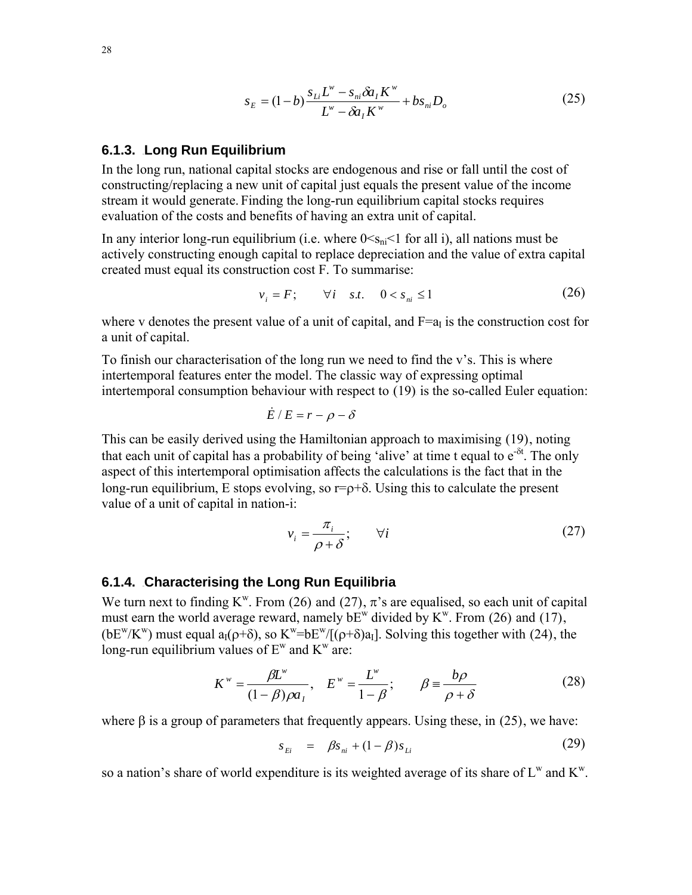$$
s_E = (1-b)\frac{s_{Li}L^w - s_{ni}\delta a_I K^w}{L^w - \delta a_I K^w} + bs_{ni} D_o
$$
 (25)

### **6.1.3. Long Run Equilibrium**

In the long run, national capital stocks are endogenous and rise or fall until the cost of constructing/replacing a new unit of capital just equals the present value of the income stream it would generate. Finding the long-run equilibrium capital stocks requires evaluation of the costs and benefits of having an extra unit of capital.

In any interior long-run equilibrium (i.e. where  $0 \le s_{ni} \le 1$  for all i), all nations must be actively constructing enough capital to replace depreciation and the value of extra capital created must equal its construction cost F. To summarise:

$$
v_i = F; \qquad \forall i \quad s.t. \quad 0 < s_{ni} \le 1 \tag{26}
$$

where v denotes the present value of a unit of capital, and  $F=a<sub>I</sub>$  is the construction cost for a unit of capital.

To finish our characterisation of the long run we need to find the v's. This is where intertemporal features enter the model. The classic way of expressing optimal intertemporal consumption behaviour with respect to  $(19)$  is the so-called Euler equation:

$$
\dot{E}/E = r - \rho - \delta
$$

This can be easily derived using the Hamiltonian approach to maximising (19), noting that each unit of capital has a probability of being 'alive' at time t equal to  $e^{-\delta t}$ . The only aspect of this intertemporal optimisation affects the calculations is the fact that in the long-run equilibrium, E stops evolving, so  $r = \rho + \delta$ . Using this to calculate the present value of a unit of capital in nation-i:

$$
v_i = \frac{\pi_i}{\rho + \delta}; \qquad \forall i
$$
 (27)

#### **6.1.4. Characterising the Long Run Equilibria**

We turn next to finding  $K^w$ . From (26) and (27),  $\pi$ 's are equalised, so each unit of capital must earn the world average reward, namely  $bE<sup>w</sup>$  divided by  $K<sup>w</sup>$ . From (26) and (17), (bE<sup>w</sup>/K<sup>w</sup>) must equal a<sub>I</sub>( $\rho$ + $\delta$ ), so K<sup>w</sup>=bE<sup>w</sup>/[( $\rho$ + $\delta$ )a<sub>I</sub>]. Solving this together with (24), the long-run equilibrium values of  $E^w$  and  $K^w$  are:

$$
K^w = \frac{\beta L^w}{(1 - \beta)\rho a_1}, \quad E^w = \frac{L^w}{1 - \beta}; \qquad \beta \equiv \frac{b\rho}{\rho + \delta}
$$
(28)

where  $\beta$  is a group of parameters that frequently appears. Using these, in (25), we have:

$$
s_{Ei} = \beta s_{ni} + (1 - \beta) s_{Li}
$$
 (29)

so a nation's share of world expenditure is its weighted average of its share of  $L^w$  and  $K^w$ .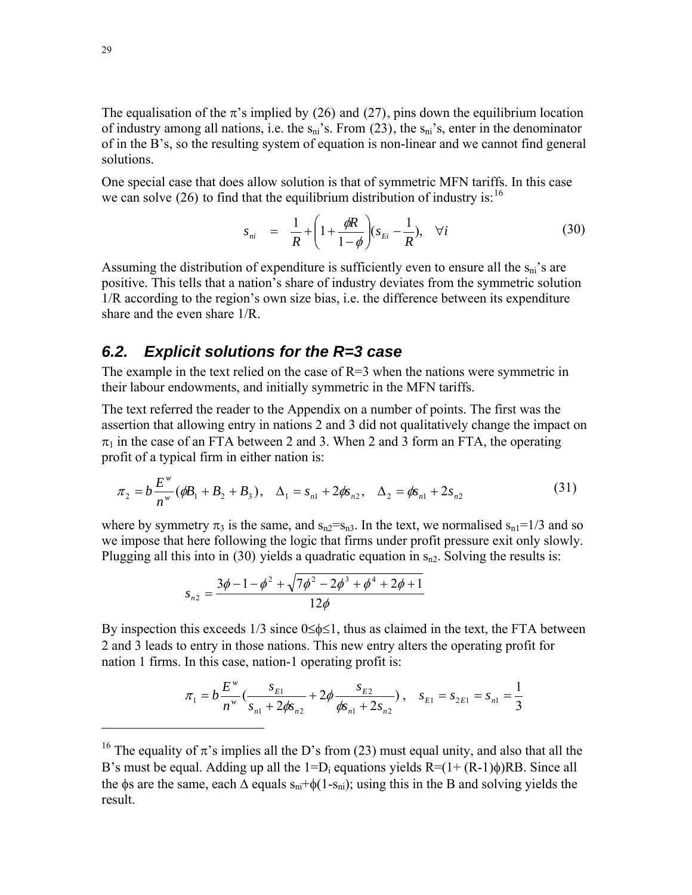The equalisation of the  $\pi$ 's implied by (26) and (27), pins down the equilibrium location of industry among all nations, i.e. the  $s_{ni}$ 's. From (23), the  $s_{ni}$ 's, enter in the denominator of in the B's, so the resulting system of equation is non-linear and we cannot find general solutions.

One special case that does allow solution is that of symmetric MFN tariffs. In this case we can solve (26) to find that the equilibrium distribution of industry is:  $^{16}$ 

$$
s_{ni} = \frac{1}{R} + \left(1 + \frac{\phi R}{1 - \phi}\right)(s_{Ei} - \frac{1}{R}), \quad \forall i
$$
 (30)

Assuming the distribution of expenditure is sufficiently even to ensure all the  $s_{ni}$ 's are positive. This tells that a nation's share of industry deviates from the symmetric solution 1/R according to the region's own size bias, i.e. the difference between its expenditure share and the even share 1/R.

## **6.2.** Explicit solutions for the R=3 case

The example in the text relied on the case of  $R=3$  when the nations were symmetric in their labour endowments, and initially symmetric in the MFN tariffs.

The text referred the reader to the Appendix on a number of points. The first was the assertion that allowing entry in nations 2 and 3 did not qualitatively change the impact on  $\pi_1$  in the case of an FTA between 2 and 3. When 2 and 3 form an FTA, the operating profit of a typical firm in either nation is:

$$
\pi_2 = b \frac{E^w}{n^w} (\phi B_1 + B_2 + B_3), \quad \Delta_1 = s_{n1} + 2 \phi s_{n2}, \quad \Delta_2 = \phi s_{n1} + 2 s_{n2}
$$
 (31)

where by symmetry  $\pi_3$  is the same, and  $s_{n2}=s_{n3}$ . In the text, we normalised  $s_{n1}=1/3$  and so we impose that here following the logic that firms under profit pressure exit only slowly. Plugging all this into in (30) yields a quadratic equation in  $s_{n2}$ . Solving the results is:

$$
s_{n2} = \frac{3\phi - 1 - \phi^2 + \sqrt{7\phi^2 - 2\phi^3 + \phi^4 + 2\phi + 1}}{12\phi}
$$

By inspection this exceeds 1/3 since  $0 \le \phi \le 1$ , thus as claimed in the text, the FTA between 2 and 3 leads to entry in those nations. This new entry alters the operating profit for nation 1 firms. In this case, nation-1 operating profit is:

$$
\pi_1 = b \frac{E^w}{n^w} \left( \frac{s_{E1}}{s_{n1} + 2\phi s_{n2}} + 2\phi \frac{s_{E2}}{\phi s_{n1} + 2s_{n2}} \right), \quad s_{E1} = s_{2E1} = s_{n1} = \frac{1}{3}
$$

<sup>&</sup>lt;sup>16</sup> The equality of  $\pi$ 's implies all the D's from (23) must equal unity, and also that all the B's must be equal. Adding up all the  $1=D_i$  equations yields  $R=(1+(R-1)\phi)RB$ . Since all the φs are the same, each  $\Delta$  equals  $s_{ni}+\phi(1-s_{ni})$ ; using this in the B and solving yields the result.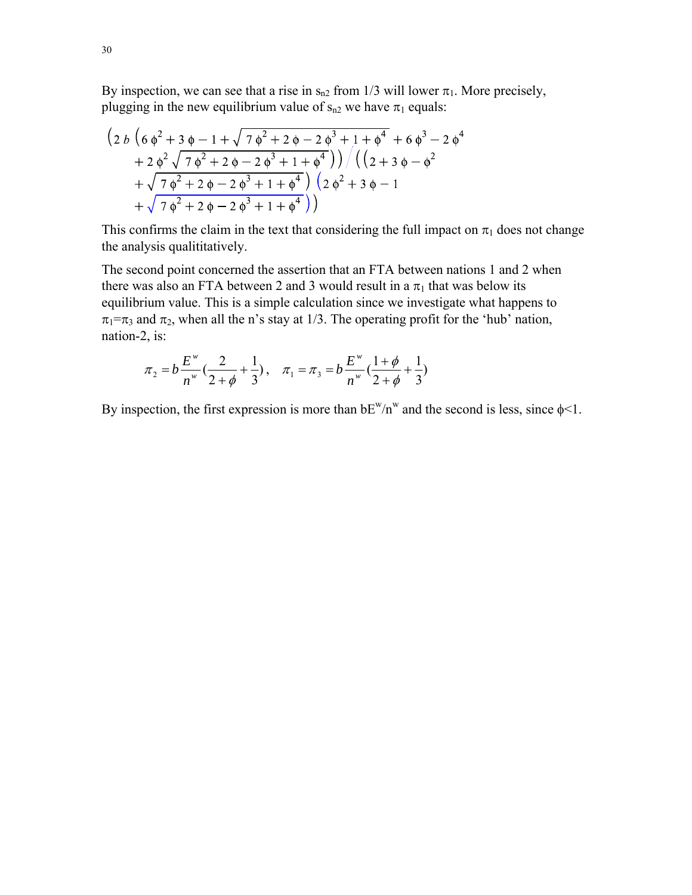By inspection, we can see that a rise in  $s_{n2}$  from 1/3 will lower  $\pi_1$ . More precisely, plugging in the new equilibrium value of  $s_{n2}$  we have  $\pi_1$  equals:

$$
\left(2 b \left(6 \phi^2+3 \phi-1+\sqrt{7 \phi^2+2 \phi-2 \phi^3+1+\phi^4}+6 \phi^3-2 \phi^4+2 \phi^2 \sqrt{7 \phi^2+2 \phi-2 \phi^3+1+\phi^4}\right)\right)/\left(\left(2+3 \phi-\phi^2+\sqrt{7 \phi^2+2 \phi-2 \phi^3+1+\phi^4}\right) \left(2 \phi^2+3 \phi-1\right)+\sqrt{7 \phi^2+2 \phi-2 \phi^3+1+\phi^4}\right)
$$

This confirms the claim in the text that considering the full impact on  $\pi_1$  does not change the analysis qualititatively.

The second point concerned the assertion that an FTA between nations 1 and 2 when there was also an FTA between 2 and 3 would result in a  $\pi_1$  that was below its equilibrium value. This is a simple calculation since we investigate what happens to  $\pi_1 = \pi_3$  and  $\pi_2$ , when all the n's stay at 1/3. The operating profit for the 'hub' nation, nation-2, is:

$$
\pi_2 = b \frac{E^w}{n^w} \left( \frac{2}{2+\phi} + \frac{1}{3} \right), \quad \pi_1 = \pi_3 = b \frac{E^w}{n^w} \left( \frac{1+\phi}{2+\phi} + \frac{1}{3} \right)
$$

By inspection, the first expression is more than  $bE^w/n^w$  and the second is less, since  $\phi$ <1.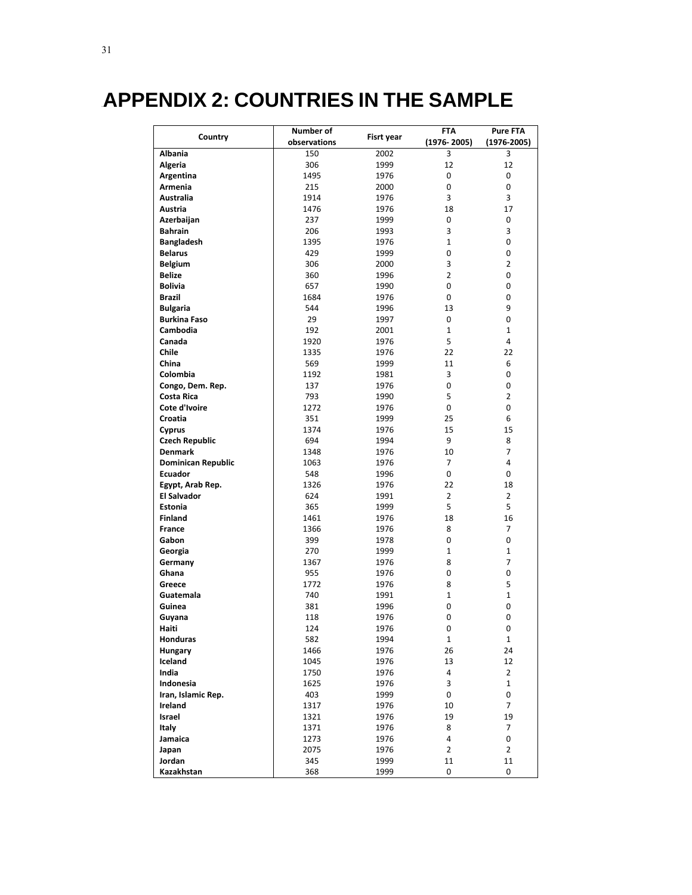# 8B**APPENDIX 2: COUNTRIES IN THE SAMPLE**

|                           | Number of    |            | FTA            | <b>Pure FTA</b> |
|---------------------------|--------------|------------|----------------|-----------------|
| Country                   | observations | Fisrt year | (1976-2005)    | $(1976 - 2005)$ |
| <b>Albania</b>            | 150          | 2002       | 3              | 3               |
| Algeria                   | 306          | 1999       | 12             | 12              |
| Argentina                 | 1495         | 1976       | 0              | 0               |
| Armenia                   | 215          | 2000       | 0              | 0               |
| Australia                 | 1914         | 1976       | 3              | 3               |
| Austria                   | 1476         | 1976       | 18             | 17              |
| Azerbaijan                | 237          | 1999       | 0              | 0               |
| <b>Bahrain</b>            | 206          | 1993       | 3              | 3               |
| <b>Bangladesh</b>         | 1395         | 1976       | $\mathbf{1}$   | 0               |
| <b>Belarus</b>            | 429          | 1999       | 0              | 0               |
| <b>Belgium</b>            | 306          | 2000       | 3              | $\overline{2}$  |
| <b>Belize</b>             | 360          | 1996       | $\overline{2}$ | 0               |
| <b>Bolivia</b>            | 657          | 1990       | 0              | 0               |
| <b>Brazil</b>             | 1684         | 1976       | 0              | 0               |
| <b>Bulgaria</b>           | 544          | 1996       | 13             | 9               |
| <b>Burkina Faso</b>       | 29           | 1997       | 0              | 0               |
| Cambodia                  | 192          | 2001       | $\mathbf{1}$   | $\mathbf{1}$    |
| Canada                    | 1920         | 1976       | 5              | 4               |
| <b>Chile</b>              | 1335         | 1976       | 22             | 22              |
| China                     | 569          | 1999       | 11             | 6               |
| Colombia                  | 1192         | 1981       | 3              | 0               |
| Congo, Dem. Rep.          | 137          | 1976       | 0              | 0               |
| <b>Costa Rica</b>         | 793          | 1990       | 5              | $\overline{2}$  |
| Cote d'Ivoire             | 1272         | 1976       | 0              | 0               |
| Croatia                   | 351          | 1999       | 25             | 6               |
| Cyprus                    | 1374         | 1976       | 15             | 15              |
| <b>Czech Republic</b>     | 694          | 1994       | 9              | 8               |
| <b>Denmark</b>            | 1348         | 1976       | 10             | $\overline{7}$  |
| <b>Dominican Republic</b> | 1063         | 1976       | 7              | 4               |
| <b>Ecuador</b>            | 548          | 1996       | 0              | 0               |
| Egypt, Arab Rep.          | 1326         | 1976       | 22             | 18              |
| <b>El Salvador</b>        | 624          | 1991       | $\overline{2}$ | $\overline{2}$  |
| <b>Estonia</b>            | 365          | 1999       | 5              | 5               |
| <b>Finland</b>            | 1461         | 1976       | 18             | 16              |
| <b>France</b>             | 1366         | 1976       | 8              | $\overline{7}$  |
| Gabon                     | 399          | 1978       | 0              | 0               |
| Georgia                   | 270          | 1999       | $\mathbf{1}$   | 1               |
| Germany                   | 1367         | 1976       | 8              | 7               |
| Ghana                     | 955          | 1976       | 0              | 0               |
| Greece                    | 1772         | 1976       | 8              | 5               |
| Guatemala                 | 740          | 1991       | $\mathbf{1}$   | 1               |
| Guinea                    | 381          | 1996       | 0              | 0               |
| Guyana                    | 118          | 1976       | 0              | 0               |
| Haiti                     | 124          | 1976       | 0              | 0               |
| Honduras                  | 582          | 1994       | $\mathbf 1$    | $\mathbf 1$     |
| <b>Hungary</b>            | 1466         | 1976       | 26             | 24              |
| Iceland                   | 1045         | 1976       | 13             | 12              |
| India                     | 1750         | 1976       | 4              | $\overline{2}$  |
| Indonesia                 | 1625         | 1976       | 3              | $\mathbf 1$     |
| Iran, Islamic Rep.        | 403          | 1999       | 0              | 0               |
| Ireland                   | 1317         | 1976       | 10             | $\overline{7}$  |
| Israel                    | 1321         | 1976       | 19             | 19              |
| Italy                     | 1371         | 1976       | 8              | 7               |
| Jamaica                   | 1273         | 1976       | 4              | 0               |
| Japan                     | 2075         | 1976       | $\overline{2}$ | $\overline{2}$  |
| Jordan                    | 345          | 1999       | 11             | 11              |
| Kazakhstan                | 368          | 1999       | 0              | 0               |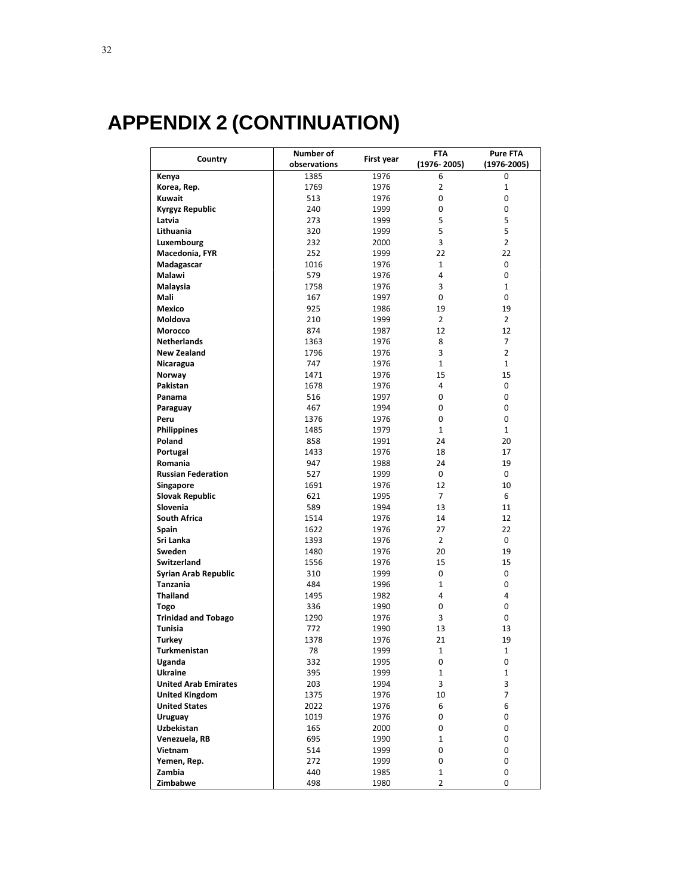# 9B**APPENDIX 2 (CONTINUATION)**

|                             | Number of    |            | FTA<br><b>Pure FTA</b> |                 |  |
|-----------------------------|--------------|------------|------------------------|-----------------|--|
| Country                     | observations | First year | $(1976 - 2005)$        | $(1976 - 2005)$ |  |
| Kenya                       | 1385         | 1976       | 6                      | 0               |  |
| Korea, Rep.                 | 1769         | 1976       | $\overline{2}$         | 1               |  |
| Kuwait                      | 513          | 1976       | 0                      | 0               |  |
|                             | 240          | 1999       | 0                      | 0               |  |
| Kyrgyz Republic<br>Latvia   | 273          |            | 5                      | 5               |  |
|                             |              | 1999       |                        |                 |  |
| Lithuania                   | 320          | 1999       | 5                      | 5               |  |
| Luxembourg                  | 232          | 2000       | 3                      | 2               |  |
| Macedonia, FYR              | 252          | 1999       | 22                     | 22              |  |
| Madagascar                  | 1016         | 1976       | $\mathbf{1}$           | 0               |  |
| Malawi                      | 579          | 1976       | 4                      | 0               |  |
| Malaysia                    | 1758         | 1976       | 3                      | $\mathbf{1}$    |  |
| Mali                        | 167          | 1997       | $\Omega$               | 0               |  |
| Mexico                      | 925          | 1986       | 19                     | 19              |  |
| <b>Moldova</b>              | 210          | 1999       | $\overline{2}$         | $\overline{2}$  |  |
| Morocco                     | 874          | 1987       | 12                     | 12              |  |
| <b>Netherlands</b>          | 1363         | 1976       | 8                      | 7               |  |
| <b>New Zealand</b>          | 1796         | 1976       | 3                      | $\overline{2}$  |  |
| Nicaragua                   | 747          | 1976       | $\mathbf{1}$           | 1               |  |
| Norway                      | 1471         | 1976       | 15                     | 15              |  |
|                             |              |            | 4                      |                 |  |
| Pakistan                    | 1678         | 1976       |                        | 0               |  |
| Panama                      | 516          | 1997       | 0                      | 0               |  |
| Paraguay                    | 467          | 1994       | 0                      | 0               |  |
| Peru                        | 1376         | 1976       | 0                      | 0               |  |
| <b>Philippines</b>          | 1485         | 1979       | $\mathbf{1}$           | $\mathbf{1}$    |  |
| Poland                      | 858          | 1991       | 24                     | 20              |  |
| Portugal                    | 1433         | 1976       | 18                     | 17              |  |
| Romania                     | 947          | 1988       | 24                     | 19              |  |
| <b>Russian Federation</b>   | 527          | 1999       | 0                      | 0               |  |
| Singapore                   | 1691         | 1976       | 12                     | 10              |  |
| <b>Slovak Republic</b>      | 621          | 1995       | $\overline{7}$         | 6               |  |
| Slovenia                    | 589          | 1994       | 13                     | 11              |  |
| <b>South Africa</b>         | 1514         | 1976       | 14                     | 12              |  |
| <b>Spain</b>                | 1622         | 1976       | 27                     | 22              |  |
| Sri Lanka                   | 1393         | 1976       | $\overline{2}$         | 0               |  |
| Sweden                      | 1480         | 1976       | 20                     | 19              |  |
| Switzerland                 | 1556         | 1976       | 15                     | 15              |  |
| <b>Syrian Arab Republic</b> | 310          | 1999       | 0                      | 0               |  |
| <b>Tanzania</b>             | 484          | 1996       | 1                      | 0               |  |
|                             |              |            | 4                      |                 |  |
| <b>Thailand</b>             | 1495         | 1982       |                        | 4               |  |
| <b>Togo</b>                 | 336          | 1990       | 0                      | 0               |  |
| <b>Trinidad and Tobago</b>  | 1290         | 1976       | 3                      | 0               |  |
| Tunisia                     | 772          | 1990       | 13                     | 13              |  |
| <b>Turkey</b>               | 1378         | 1976       | 21                     | 19              |  |
| <b>Turkmenistan</b>         | 78           | 1999       | $\mathbf{1}$           | $\mathbf{1}$    |  |
| Uganda                      | 332          | 1995       | 0                      | 0               |  |
| Ukraine                     | 395          | 1999       | $\mathbf{1}$           | 1               |  |
| <b>United Arab Emirates</b> | 203          | 1994       | 3                      | 3               |  |
| <b>United Kingdom</b>       | 1375         | 1976       | 10                     | 7               |  |
| <b>United States</b>        | 2022         | 1976       | 6                      | 6               |  |
| Uruguay                     | 1019         | 1976       | 0                      | 0               |  |
| Uzbekistan                  | 165          | 2000       | 0                      | 0               |  |
| Venezuela, RB               | 695          | 1990       | $\mathbf{1}$           | 0               |  |
| Vietnam                     | 514          | 1999       | 0                      | 0               |  |
| Yemen, Rep.                 | 272          | 1999       | 0                      | 0               |  |
| Zambia                      | 440          | 1985       | $\mathbf{1}$           | 0               |  |
|                             |              |            |                        |                 |  |
| Zimbabwe                    | 498          | 1980       | $\overline{2}$         | 0               |  |